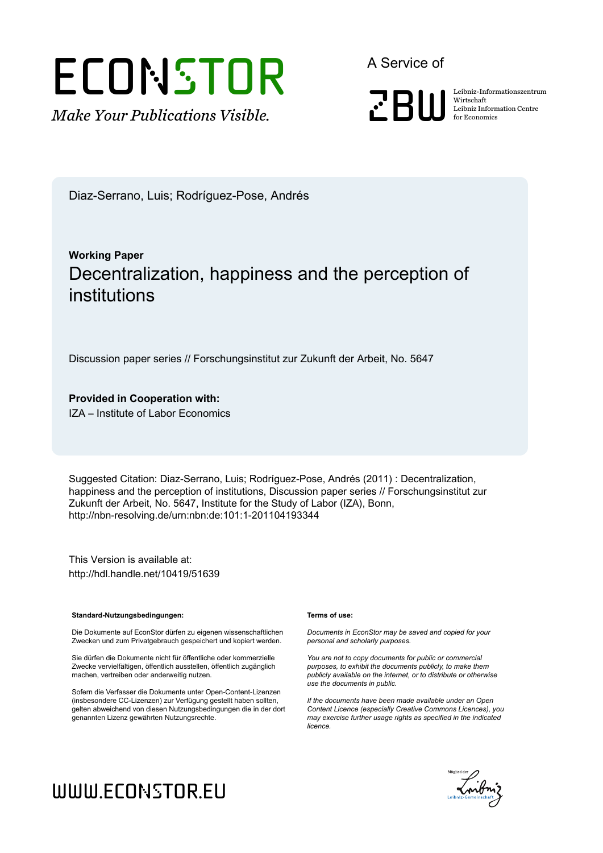# **ECONSTOR**

*Make Your Publications Visible.*

A Service of



Wirtschaft Leibniz Information Centre for Economics

Diaz-Serrano, Luis; Rodríguez-Pose, Andrés

# **Working Paper** Decentralization, happiness and the perception of institutions

Discussion paper series // Forschungsinstitut zur Zukunft der Arbeit, No. 5647

**Provided in Cooperation with:** IZA – Institute of Labor Economics

Suggested Citation: Diaz-Serrano, Luis; Rodríguez-Pose, Andrés (2011) : Decentralization, happiness and the perception of institutions, Discussion paper series // Forschungsinstitut zur Zukunft der Arbeit, No. 5647, Institute for the Study of Labor (IZA), Bonn, http://nbn-resolving.de/urn:nbn:de:101:1-201104193344

This Version is available at: http://hdl.handle.net/10419/51639

#### **Standard-Nutzungsbedingungen:**

Die Dokumente auf EconStor dürfen zu eigenen wissenschaftlichen Zwecken und zum Privatgebrauch gespeichert und kopiert werden.

Sie dürfen die Dokumente nicht für öffentliche oder kommerzielle Zwecke vervielfältigen, öffentlich ausstellen, öffentlich zugänglich machen, vertreiben oder anderweitig nutzen.

Sofern die Verfasser die Dokumente unter Open-Content-Lizenzen (insbesondere CC-Lizenzen) zur Verfügung gestellt haben sollten, gelten abweichend von diesen Nutzungsbedingungen die in der dort genannten Lizenz gewährten Nutzungsrechte.

#### **Terms of use:**

*Documents in EconStor may be saved and copied for your personal and scholarly purposes.*

*You are not to copy documents for public or commercial purposes, to exhibit the documents publicly, to make them publicly available on the internet, or to distribute or otherwise use the documents in public.*

*If the documents have been made available under an Open Content Licence (especially Creative Commons Licences), you may exercise further usage rights as specified in the indicated licence.*



# www.econstor.eu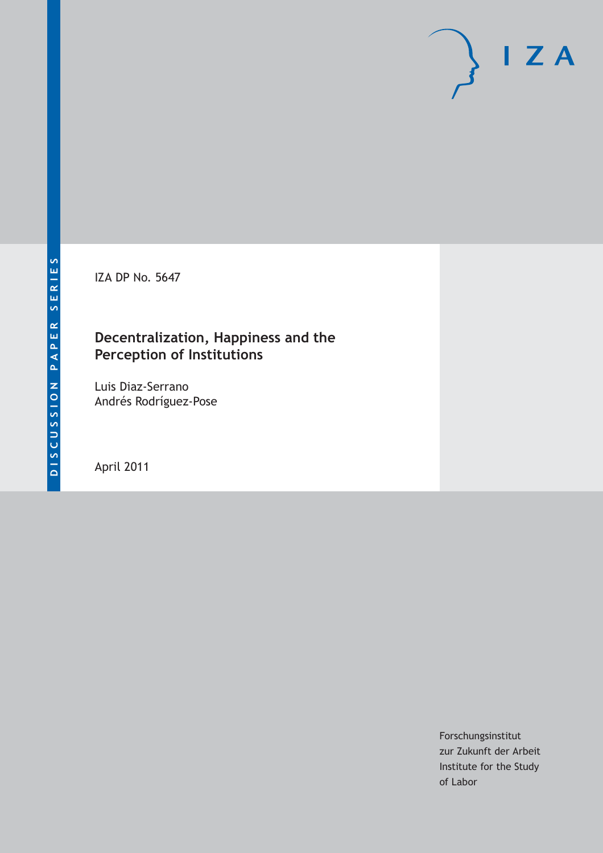IZA DP No. 5647

# **Decentralization, Happiness and the Perception of Institutions**

Luis Diaz-Serrano Andrés Rodríguez-Pose

April 2011

Forschungsinstitut zur Zukunft der Arbeit Institute for the Study of Labor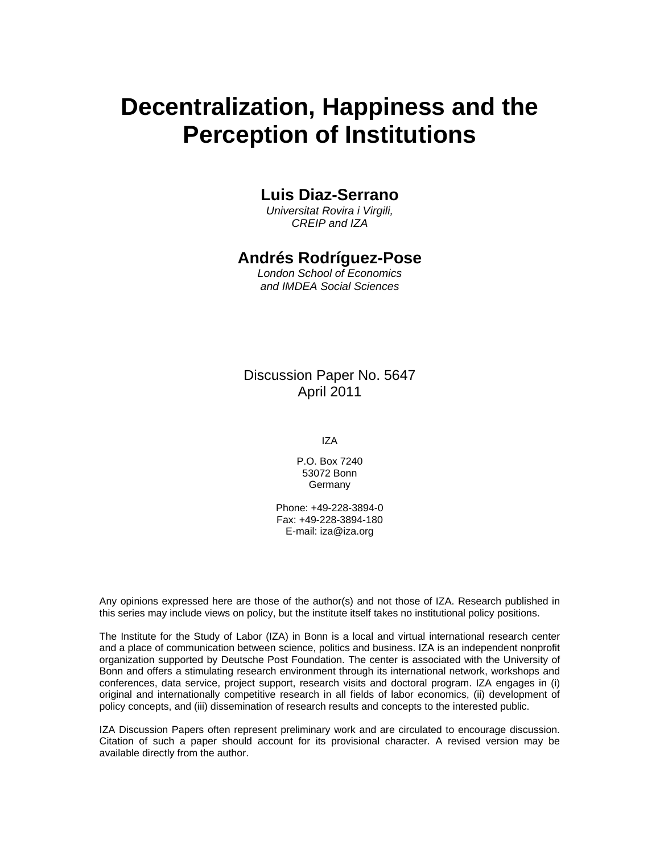# **Decentralization, Happiness and the Perception of Institutions**

## **Luis Diaz-Serrano**

*Universitat Rovira i Virgili, CREIP and IZA* 

## **Andrés Rodríguez-Pose**

*London School of Economics and IMDEA Social Sciences* 

### Discussion Paper No. 5647 April 2011

IZA

P.O. Box 7240 53072 Bonn **Germany** 

Phone: +49-228-3894-0 Fax: +49-228-3894-180 E-mail: iza@iza.org

Any opinions expressed here are those of the author(s) and not those of IZA. Research published in this series may include views on policy, but the institute itself takes no institutional policy positions.

The Institute for the Study of Labor (IZA) in Bonn is a local and virtual international research center and a place of communication between science, politics and business. IZA is an independent nonprofit organization supported by Deutsche Post Foundation. The center is associated with the University of Bonn and offers a stimulating research environment through its international network, workshops and conferences, data service, project support, research visits and doctoral program. IZA engages in (i) original and internationally competitive research in all fields of labor economics, (ii) development of policy concepts, and (iii) dissemination of research results and concepts to the interested public.

IZA Discussion Papers often represent preliminary work and are circulated to encourage discussion. Citation of such a paper should account for its provisional character. A revised version may be available directly from the author.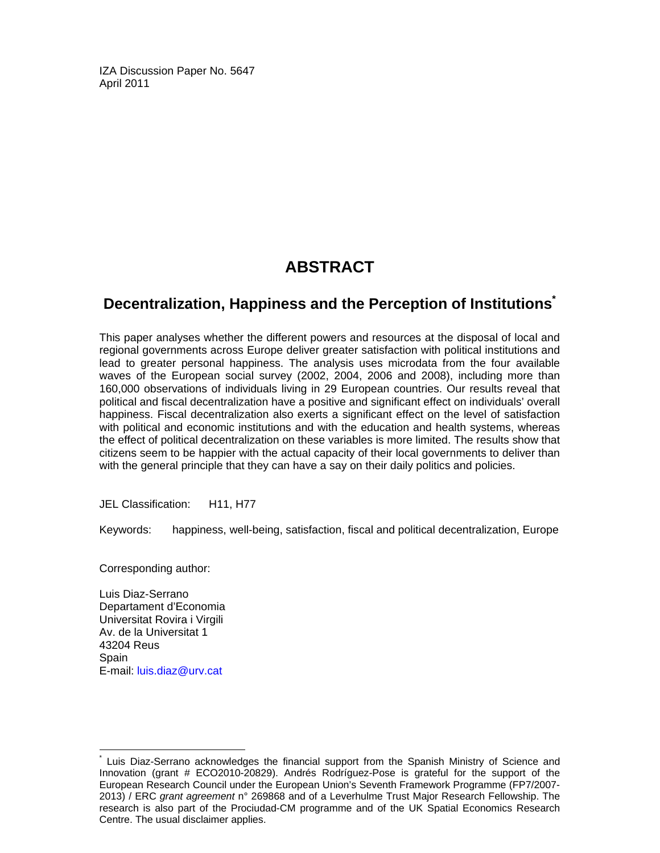IZA Discussion Paper No. 5647 April 2011

# **ABSTRACT**

# **Decentralization, Happiness and the Perception of Institutions\***

This paper analyses whether the different powers and resources at the disposal of local and regional governments across Europe deliver greater satisfaction with political institutions and lead to greater personal happiness. The analysis uses microdata from the four available waves of the European social survey (2002, 2004, 2006 and 2008), including more than 160,000 observations of individuals living in 29 European countries. Our results reveal that political and fiscal decentralization have a positive and significant effect on individuals' overall happiness. Fiscal decentralization also exerts a significant effect on the level of satisfaction with political and economic institutions and with the education and health systems, whereas the effect of political decentralization on these variables is more limited. The results show that citizens seem to be happier with the actual capacity of their local governments to deliver than with the general principle that they can have a say on their daily politics and policies.

JEL Classification: H11, H77

Keywords: happiness, well-being, satisfaction, fiscal and political decentralization, Europe

Corresponding author:

Luis Diaz-Serrano Departament d'Economia Universitat Rovira i Virgili Av. de la Universitat 1 43204 Reus Spain E-mail: luis.diaz@urv.cat

-

<sup>\*</sup> Luis Diaz-Serrano acknowledges the financial support from the Spanish Ministry of Science and Innovation (grant # ECO2010-20829). Andrés Rodríguez-Pose is grateful for the support of the European Research Council under the European Union's Seventh Framework Programme (FP7/2007- 2013) / ERC *grant agreement* n° 269868 and of a Leverhulme Trust Major Research Fellowship. The research is also part of the Prociudad-CM programme and of the UK Spatial Economics Research Centre. The usual disclaimer applies.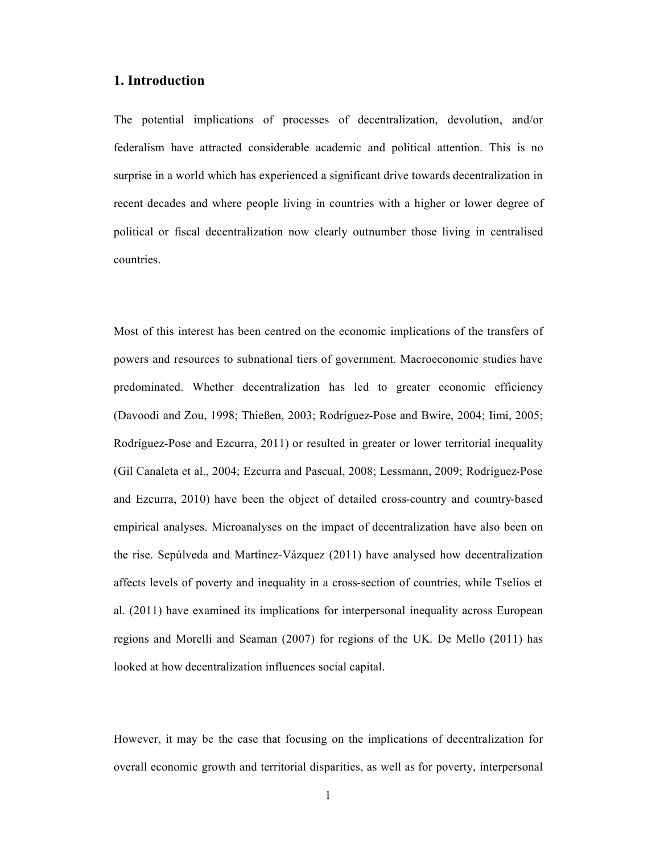#### **1. Introduction**

The potential implications of processes of decentralization, devolution, and/or federalism have attracted considerable academic and political attention. This is no surprise in a world which has experienced a significant drive towards decentralization in recent decades and where people living in countries with a higher or lower degree of political or fiscal decentralization now clearly outnumber those living in centralised countries.

Most of this interest has been centred on the economic implications of the transfers of powers and resources to subnational tiers of government. Macroeconomic studies have predominated. Whether decentralization has led to greater economic efficiency (Davoodi and Zou, 1998; Thießen, 2003; Rodríguez-Pose and Bwire, 2004; Iimi, 2005; Rodríguez-Pose and Ezcurra, 2011) or resulted in greater or lower territorial inequality (Gil Canaleta et al., 2004; Ezcurra and Pascual, 2008; Lessmann, 2009; Rodríguez-Pose and Ezcurra, 2010) have been the object of detailed cross-country and country-based empirical analyses. Microanalyses on the impact of decentralization have also been on the rise. Sepúlveda and Martínez-Vázquez  $(2011)$  have analysed how decentralization affects levels of poverty and inequality in a cross-section of countries, while Tselios et al. (2011) have examined its implications for interpersonal inequality across European regions and Morelli and Seaman (2007) for regions of the UK. De Mello (2011) has looked at how decentralization influences social capital.

However, it may be the case that focusing on the implications of decentralization for overall economic growth and territorial disparities, as well as for poverty, interpersonal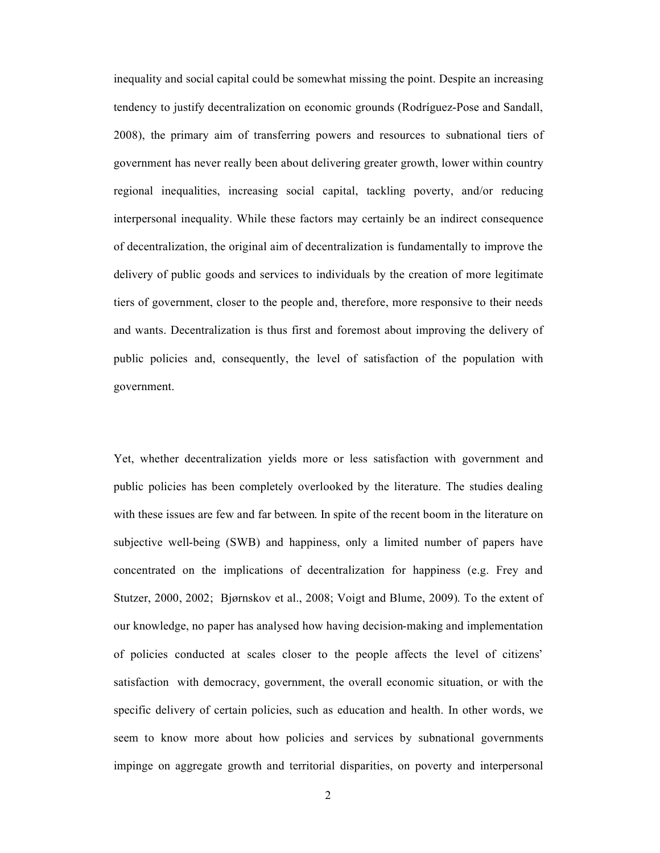inequality and social capital could be somewhat missing the point. Despite an increasing tendency to justify decentralization on economic grounds (Rodríguez-Pose and Sandall, 2008), the primary aim of transferring powers and resources to subnational tiers of government has never really been about delivering greater growth, lower within country regional inequalities, increasing social capital, tackling poverty, and/or reducing interpersonal inequality. While these factors may certainly be an indirect consequence of decentralization, the original aim of decentralization is fundamentally to improve the delivery of public goods and services to individuals by the creation of more legitimate tiers of government, closer to the people and, therefore, more responsive to their needs and wants. Decentralization is thus first and foremost about improving the delivery of public policies and, consequently, the level of satisfaction of the population with government.

Yet, whether decentralization yields more or less satisfaction with government and public policies has been completely overlooked by the literature. The studies dealing with these issues are few and far between. In spite of the recent boom in the literature on subjective well-being (SWB) and happiness, only a limited number of papers have concentrated on the implications of decentralization for happiness (e.g. Frey and Stutzer, 2000, 2002; Bjørnskov et al., 2008; Voigt and Blume, 2009). To the extent of our knowledge, no paper has analysed how having decision-making and implementation of policies conducted at scales closer to the people affects the level of citizens' satisfaction with democracy, government, the overall economic situation, or with the specific delivery of certain policies, such as education and health. In other words, we seem to know more about how policies and services by subnational governments impinge on aggregate growth and territorial disparities, on poverty and interpersonal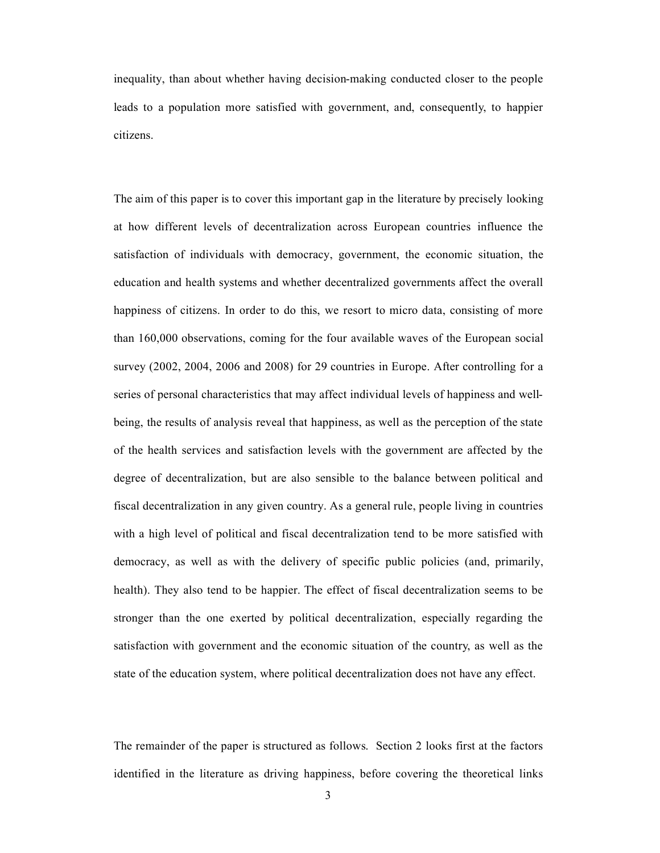inequality, than about whether having decision-making conducted closer to the people leads to a population more satisfied with government, and, consequently, to happier citizens.

The aim of this paper is to cover this important gap in the literature by precisely looking at how different levels of decentralization across European countries influence the satisfaction of individuals with democracy, government, the economic situation, the education and health systems and whether decentralized governments affect the overall happiness of citizens. In order to do this, we resort to micro data, consisting of more than 160,000 observations, coming for the four available waves of the European social survey (2002, 2004, 2006 and 2008) for 29 countries in Europe. After controlling for a series of personal characteristics that may affect individual levels of happiness and wellbeing, the results of analysis reveal that happiness, as well as the perception of the state of the health services and satisfaction levels with the government are affected by the degree of decentralization, but are also sensible to the balance between political and fiscal decentralization in any given country. As a general rule, people living in countries with a high level of political and fiscal decentralization tend to be more satisfied with democracy, as well as with the delivery of specific public policies (and, primarily, health). They also tend to be happier. The effect of fiscal decentralization seems to be stronger than the one exerted by political decentralization, especially regarding the satisfaction with government and the economic situation of the country, as well as the state of the education system, where political decentralization does not have any effect.

The remainder of the paper is structured as follows. Section 2 looks first at the factors identified in the literature as driving happiness, before covering the theoretical links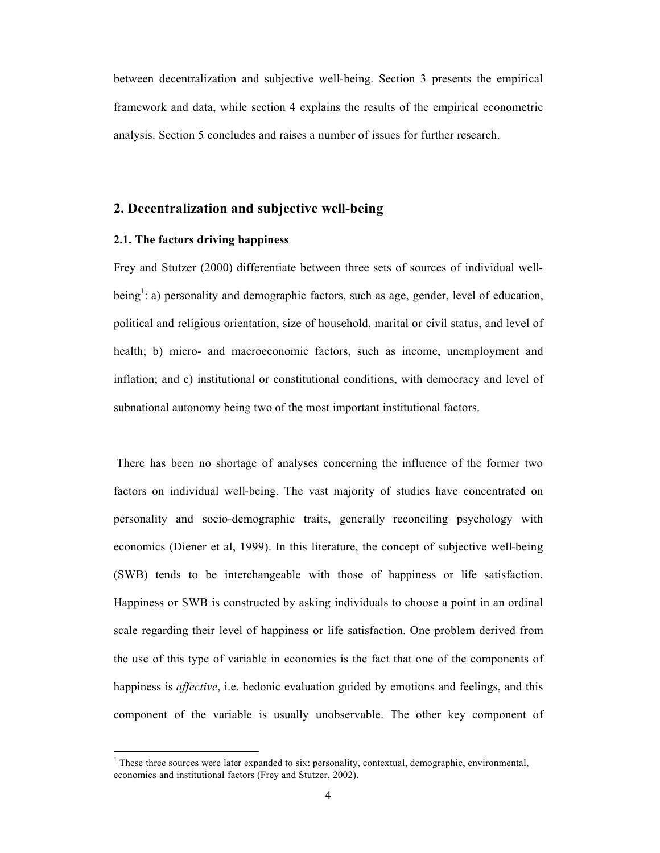between decentralization and subjective well-being. Section 3 presents the empirical framework and data, while section 4 explains the results of the empirical econometric analysis. Section 5 concludes and raises a number of issues for further research.

#### **2. Decentralization and subjective well-being**

#### **2.1. The factors driving happiness**

Frey and Stutzer (2000) differentiate between three sets of sources of individual wellbeing<sup>1</sup>: a) personality and demographic factors, such as age, gender, level of education, political and religious orientation, size of household, marital or civil status, and level of health; b) micro- and macroeconomic factors, such as income, unemployment and inflation; and c) institutional or constitutional conditions, with democracy and level of subnational autonomy being two of the most important institutional factors.

There has been no shortage of analyses concerning the influence of the former two factors on individual well-being. The vast majority of studies have concentrated on personality and socio-demographic traits, generally reconciling psychology with economics (Diener et al, 1999). In this literature, the concept of subjective well-being (SWB) tends to be interchangeable with those of happiness or life satisfaction. Happiness or SWB is constructed by asking individuals to choose a point in an ordinal scale regarding their level of happiness or life satisfaction. One problem derived from the use of this type of variable in economics is the fact that one of the components of happiness is *affective*, i.e. hedonic evaluation guided by emotions and feelings, and this component of the variable is usually unobservable. The other key component of

 $<sup>1</sup>$  These three sources were later expanded to six: personality, contextual, demographic, environmental,</sup> economics and institutional factors (Frey and Stutzer, 2002).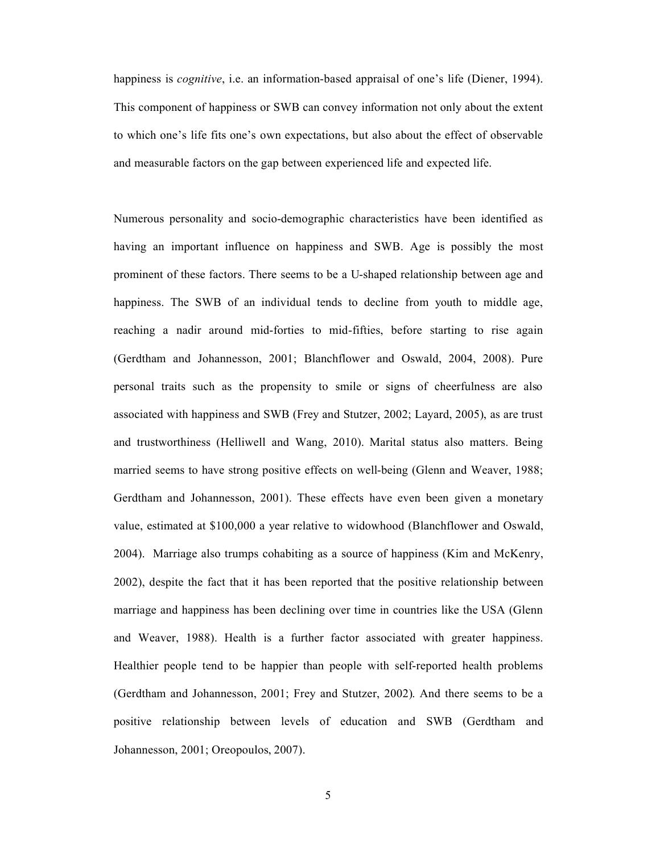happiness is *cognitive*, i.e. an information-based appraisal of one's life (Diener, 1994). This component of happiness or SWB can convey information not only about the extent to which one's life fits one's own expectations, but also about the effect of observable and measurable factors on the gap between experienced life and expected life.

Numerous personality and socio-demographic characteristics have been identified as having an important influence on happiness and SWB. Age is possibly the most prominent of these factors. There seems to be a U-shaped relationship between age and happiness. The SWB of an individual tends to decline from youth to middle age, reaching a nadir around mid-forties to mid-fifties, before starting to rise again (Gerdtham and Johannesson, 2001; Blanchflower and Oswald, 2004, 2008). Pure personal traits such as the propensity to smile or signs of cheerfulness are also associated with happiness and SWB (Frey and Stutzer, 2002; Layard, 2005), as are trust and trustworthiness (Helliwell and Wang, 2010). Marital status also matters. Being married seems to have strong positive effects on well-being (Glenn and Weaver, 1988; Gerdtham and Johannesson, 2001). These effects have even been given a monetary value, estimated at \$100,000 a year relative to widowhood (Blanchflower and Oswald, 2004). Marriage also trumps cohabiting as a source of happiness (Kim and McKenry, 2002), despite the fact that it has been reported that the positive relationship between marriage and happiness has been declining over time in countries like the USA (Glenn and Weaver, 1988). Health is a further factor associated with greater happiness. Healthier people tend to be happier than people with self-reported health problems (Gerdtham and Johannesson, 2001; Frey and Stutzer, 2002). And there seems to be a positive relationship between levels of education and SWB (Gerdtham and Johannesson, 2001; Oreopoulos, 2007).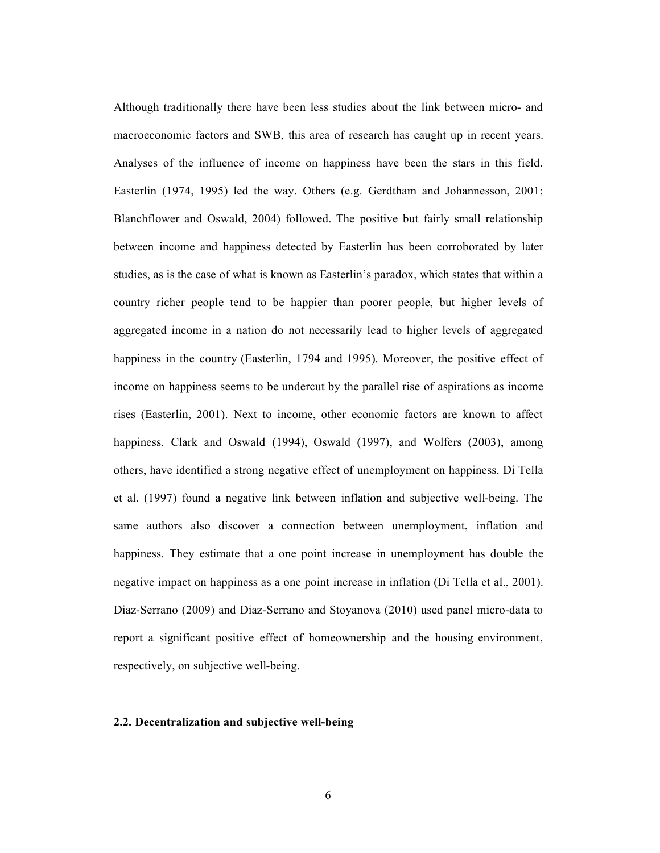Although traditionally there have been less studies about the link between micro- and macroeconomic factors and SWB, this area of research has caught up in recent years. Analyses of the influence of income on happiness have been the stars in this field. Easterlin (1974, 1995) led the way. Others (e.g. Gerdtham and Johannesson, 2001; Blanchflower and Oswald, 2004) followed. The positive but fairly small relationship between income and happiness detected by Easterlin has been corroborated by later studies, as is the case of what is known as Easterlin's paradox, which states that within a country richer people tend to be happier than poorer people, but higher levels of aggregated income in a nation do not necessarily lead to higher levels of aggregated happiness in the country (Easterlin, 1794 and 1995). Moreover, the positive effect of income on happiness seems to be undercut by the parallel rise of aspirations as income rises (Easterlin, 2001). Next to income, other economic factors are known to affect happiness. Clark and Oswald (1994), Oswald (1997), and Wolfers (2003), among others, have identified a strong negative effect of unemployment on happiness. Di Tella et al. (1997) found a negative link between inflation and subjective well-being. The same authors also discover a connection between unemployment, inflation and happiness. They estimate that a one point increase in unemployment has double the negative impact on happiness as a one point increase in inflation (Di Tella et al., 2001). Diaz-Serrano (2009) and Diaz-Serrano and Stoyanova (2010) used panel micro-data to report a significant positive effect of homeownership and the housing environment, respectively, on subjective well-being.

#### **2.2. Decentralization and subjective well-being**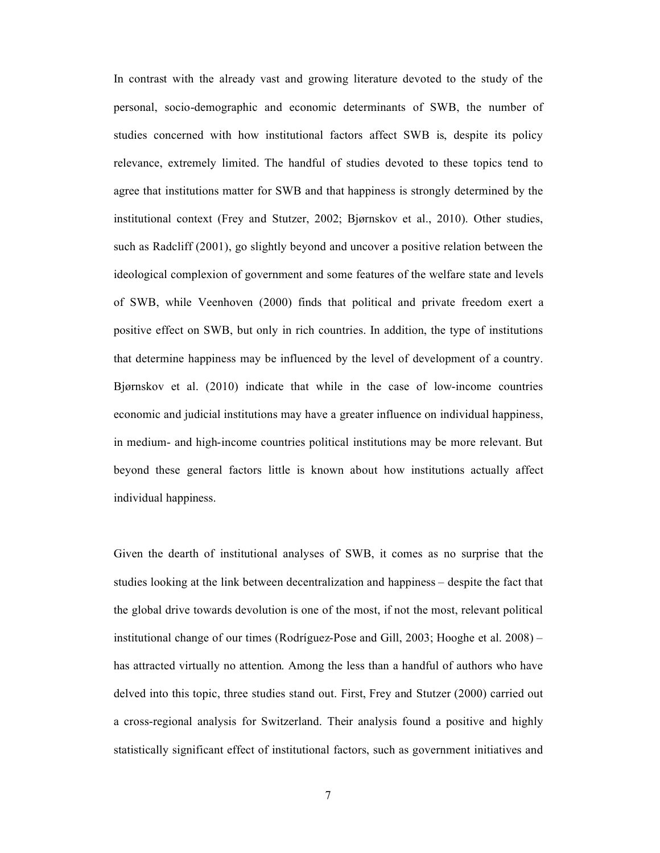In contrast with the already vast and growing literature devoted to the study of the personal, socio-demographic and economic determinants of SWB, the number of studies concerned with how institutional factors affect SWB is, despite its policy relevance, extremely limited. The handful of studies devoted to these topics tend to agree that institutions matter for SWB and that happiness is strongly determined by the institutional context (Frey and Stutzer, 2002; Bjørnskov et al., 2010). Other studies, such as Radcliff (2001), go slightly beyond and uncover a positive relation between the ideological complexion of government and some features of the welfare state and levels of SWB, while Veenhoven (2000) finds that political and private freedom exert a positive effect on SWB, but only in rich countries. In addition, the type of institutions that determine happiness may be influenced by the level of development of a country. Bjárnskov et al. (2010) indicate that while in the case of low-income countries economic and judicial institutions may have a greater influence on individual happiness, in medium- and high-income countries political institutions may be more relevant. But beyond these general factors little is known about how institutions actually affect individual happiness.

Given the dearth of institutional analyses of SWB, it comes as no surprise that the studies looking at the link between decentralization and happiness – despite the fact that the global drive towards devolution is one of the most, if not the most, relevant political institutional change of our times (Rodríguez-Pose and Gill,  $2003$ ; Hooghe et al.  $2008$ ) – has attracted virtually no attention. Among the less than a handful of authors who have delved into this topic, three studies stand out. First, Frey and Stutzer (2000) carried out a cross-regional analysis for Switzerland. Their analysis found a positive and highly statistically significant effect of institutional factors, such as government initiatives and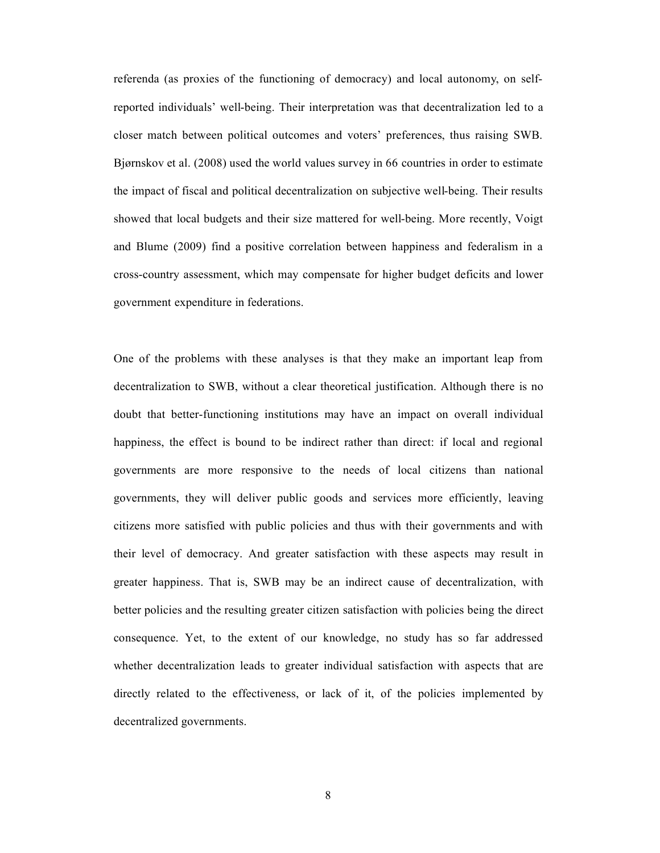referenda (as proxies of the functioning of democracy) and local autonomy, on selfreported individuals' well-being. Their interpretation was that decentralization led to a closer match between political outcomes and voters' preferences, thus raising SWB. Bjárnskov et al. (2008) used the world values survey in 66 countries in order to estimate the impact of fiscal and political decentralization on subjective well-being. Their results showed that local budgets and their size mattered for well-being. More recently, Voigt and Blume (2009) find a positive correlation between happiness and federalism in a cross-country assessment, which may compensate for higher budget deficits and lower government expenditure in federations.

One of the problems with these analyses is that they make an important leap from decentralization to SWB, without a clear theoretical justification. Although there is no doubt that better-functioning institutions may have an impact on overall individual happiness, the effect is bound to be indirect rather than direct: if local and regional governments are more responsive to the needs of local citizens than national governments, they will deliver public goods and services more efficiently, leaving citizens more satisfied with public policies and thus with their governments and with their level of democracy. And greater satisfaction with these aspects may result in greater happiness. That is, SWB may be an indirect cause of decentralization, with better policies and the resulting greater citizen satisfaction with policies being the direct consequence. Yet, to the extent of our knowledge, no study has so far addressed whether decentralization leads to greater individual satisfaction with aspects that are directly related to the effectiveness, or lack of it, of the policies implemented by decentralized governments.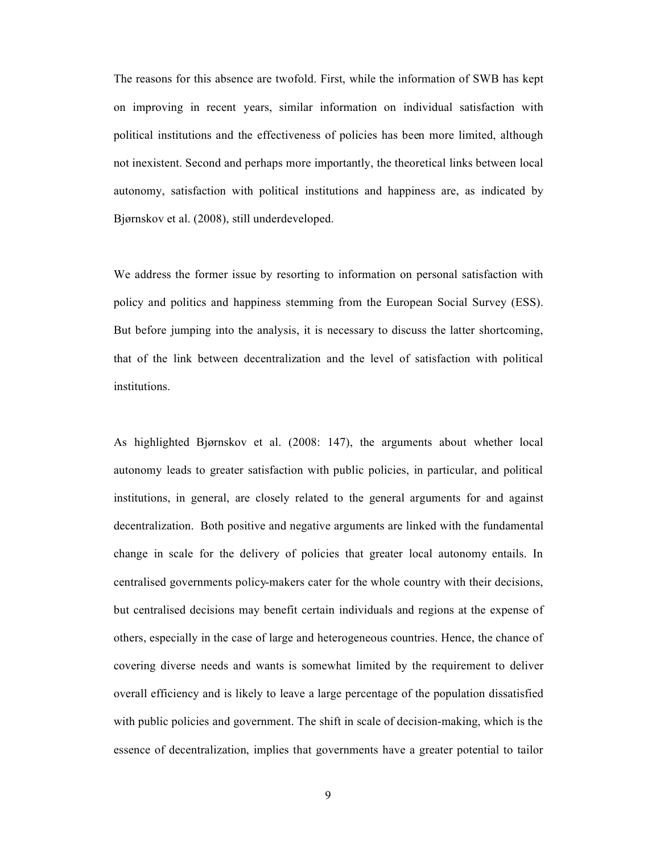The reasons for this absence are twofold. First, while the information of SWB has kept on improving in recent years, similar information on individual satisfaction with political institutions and the effectiveness of policies has been more limited, although not inexistent. Second and perhaps more importantly, the theoretical links between local autonomy, satisfaction with political institutions and happiness are, as indicated by Bjárnskov et al. (2008), still underdeveloped.

We address the former issue by resorting to information on personal satisfaction with policy and politics and happiness stemming from the European Social Survey (ESS). But before jumping into the analysis, it is necessary to discuss the latter shortcoming, that of the link between decentralization and the level of satisfaction with political institutions.

As highlighted Bjørnskov et al. (2008: 147), the arguments about whether local autonomy leads to greater satisfaction with public policies, in particular, and political institutions, in general, are closely related to the general arguments for and against decentralization. Both positive and negative arguments are linked with the fundamental change in scale for the delivery of policies that greater local autonomy entails. In centralised governments policy-makers cater for the whole country with their decisions, but centralised decisions may benefit certain individuals and regions at the expense of others, especially in the case of large and heterogeneous countries. Hence, the chance of covering diverse needs and wants is somewhat limited by the requirement to deliver overall efficiency and is likely to leave a large percentage of the population dissatisfied with public policies and government. The shift in scale of decision-making, which is the essence of decentralization, implies that governments have a greater potential to tailor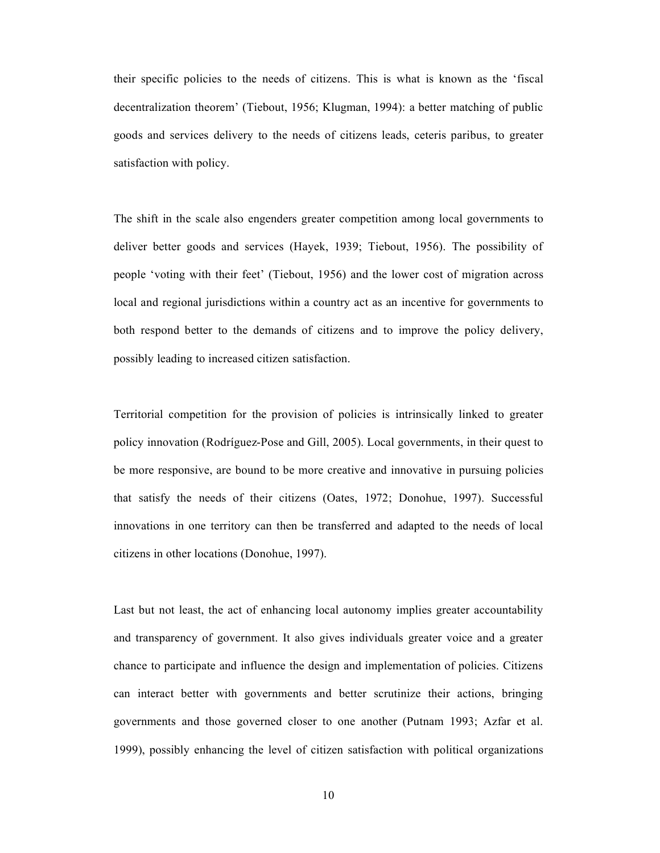their specific policies to the needs of citizens. This is what is known as the 'fiscal decentralization theorem' (Tiebout, 1956; Klugman, 1994): a better matching of public goods and services delivery to the needs of citizens leads, ceteris paribus, to greater satisfaction with policy.

The shift in the scale also engenders greater competition among local governments to deliver better goods and services (Hayek, 1939; Tiebout, 1956). The possibility of people 'voting with their feet' (Tiebout, 1956) and the lower cost of migration across local and regional jurisdictions within a country act as an incentive for governments to both respond better to the demands of citizens and to improve the policy delivery, possibly leading to increased citizen satisfaction.

Territorial competition for the provision of policies is intrinsically linked to greater policy innovation (Rodríguez-Pose and Gill, 2005). Local governments, in their quest to be more responsive, are bound to be more creative and innovative in pursuing policies that satisfy the needs of their citizens (Oates, 1972; Donohue, 1997). Successful innovations in one territory can then be transferred and adapted to the needs of local citizens in other locations (Donohue, 1997).

Last but not least, the act of enhancing local autonomy implies greater accountability and transparency of government. It also gives individuals greater voice and a greater chance to participate and influence the design and implementation of policies. Citizens can interact better with governments and better scrutinize their actions, bringing governments and those governed closer to one another (Putnam 1993; Azfar et al. 1999), possibly enhancing the level of citizen satisfaction with political organizations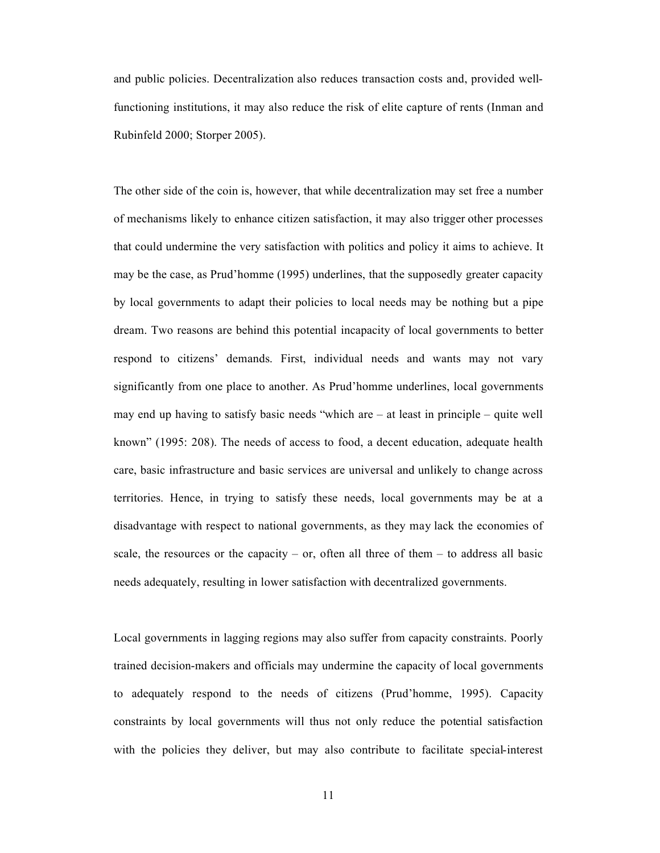and public policies. Decentralization also reduces transaction costs and, provided wellfunctioning institutions, it may also reduce the risk of elite capture of rents (Inman and Rubinfeld 2000; Storper 2005).

The other side of the coin is, however, that while decentralization may set free a number of mechanisms likely to enhance citizen satisfaction, it may also trigger other processes that could undermine the very satisfaction with politics and policy it aims to achieve. It may be the case, as Prud'homme (1995) underlines, that the supposedly greater capacity by local governments to adapt their policies to local needs may be nothing but a pipe dream. Two reasons are behind this potential incapacity of local governments to better respond to citizens' demands. First, individual needs and wants may not vary significantly from one place to another. As Prud'homme underlines, local governments may end up having to satisfy basic needs "which are – at least in principle – quite well known" (1995: 208). The needs of access to food, a decent education, adequate health care, basic infrastructure and basic services are universal and unlikely to change across territories. Hence, in trying to satisfy these needs, local governments may be at a disadvantage with respect to national governments, as they may lack the economies of scale, the resources or the capacity – or, often all three of them – to address all basic needs adequately, resulting in lower satisfaction with decentralized governments.

Local governments in lagging regions may also suffer from capacity constraints. Poorly trained decision-makers and officials may undermine the capacity of local governments to adequately respond to the needs of citizens (Prud'homme, 1995). Capacity constraints by local governments will thus not only reduce the potential satisfaction with the policies they deliver, but may also contribute to facilitate special-interest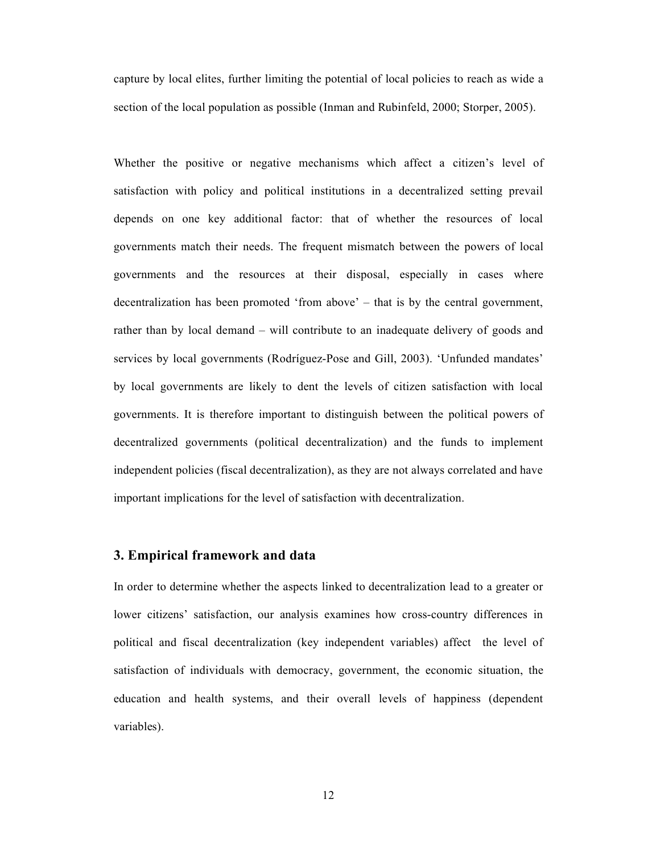capture by local elites, further limiting the potential of local policies to reach as wide a section of the local population as possible (Inman and Rubinfeld, 2000; Storper, 2005).

Whether the positive or negative mechanisms which affect a citizen's level of satisfaction with policy and political institutions in a decentralized setting prevail depends on one key additional factor: that of whether the resources of local governments match their needs. The frequent mismatch between the powers of local governments and the resources at their disposal, especially in cases where decentralization has been promoted 'from above' – that is by the central government, rather than by local demand – will contribute to an inadequate delivery of goods and services by local governments (Rodríguez-Pose and Gill, 2003). 'Unfunded mandates' by local governments are likely to dent the levels of citizen satisfaction with local governments. It is therefore important to distinguish between the political powers of decentralized governments (political decentralization) and the funds to implement independent policies (fiscal decentralization), as they are not always correlated and have important implications for the level of satisfaction with decentralization.

#### **3. Empirical framework and data**

In order to determine whether the aspects linked to decentralization lead to a greater or lower citizens' satisfaction, our analysis examines how cross-country differences in political and fiscal decentralization (key independent variables) affect the level of satisfaction of individuals with democracy, government, the economic situation, the education and health systems, and their overall levels of happiness (dependent variables).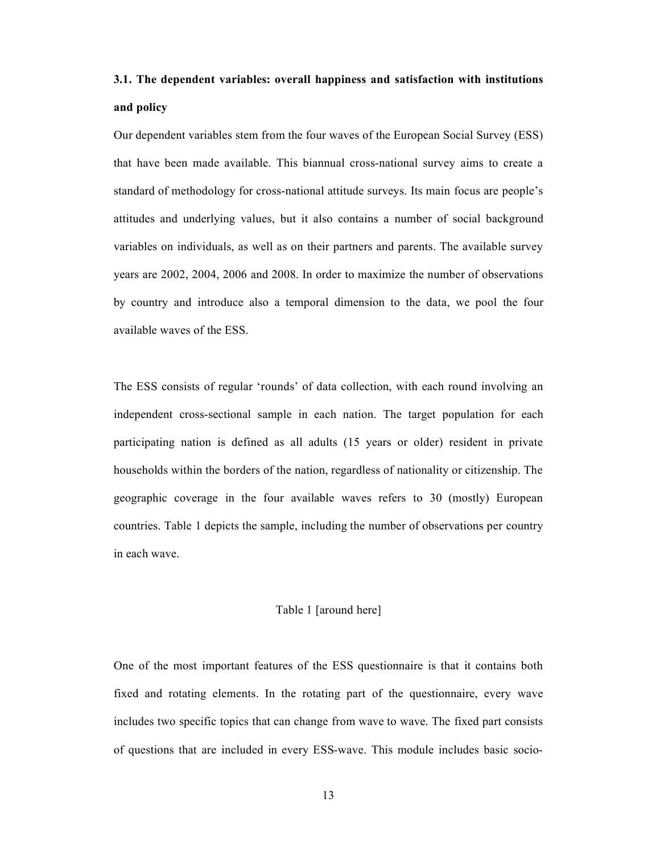# **3.1. The dependent variables: overall happiness and satisfaction with institutions and policy**

Our dependent variables stem from the four waves of the European Social Survey (ESS) that have been made available. This biannual cross-national survey aims to create a standard of methodology for cross-national attitude surveys. Its main focus are people's attitudes and underlying values, but it also contains a number of social background variables on individuals, as well as on their partners and parents. The available survey years are 2002, 2004, 2006 and 2008. In order to maximize the number of observations by country and introduce also a temporal dimension to the data, we pool the four available waves of the ESS.

The ESS consists of regular 'rounds' of data collection, with each round involving an independent cross-sectional sample in each nation. The target population for each participating nation is defined as all adults (15 years or older) resident in private households within the borders of the nation, regardless of nationality or citizenship. The geographic coverage in the four available waves refers to 30 (mostly) European countries. Table 1 depicts the sample, including the number of observations per country in each wave.

#### Table 1 [around here]

One of the most important features of the ESS questionnaire is that it contains both fixed and rotating elements. In the rotating part of the questionnaire, every wave includes two specific topics that can change from wave to wave. The fixed part consists of questions that are included in every ESS-wave. This module includes basic socio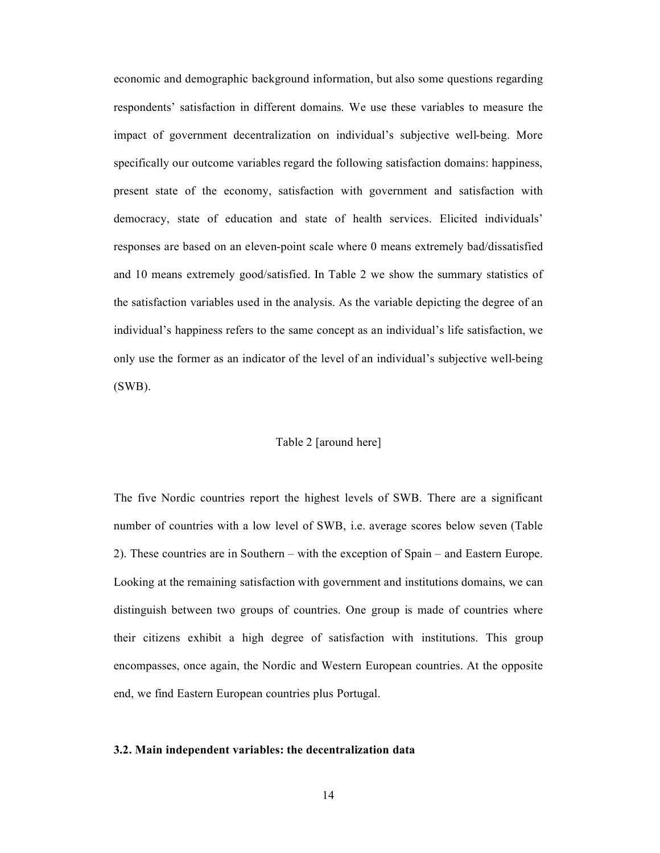economic and demographic background information, but also some questions regarding respondents' satisfaction in different domains. We use these variables to measure the impact of government decentralization on individual's subjective well-being. More specifically our outcome variables regard the following satisfaction domains: happiness, present state of the economy, satisfaction with government and satisfaction with democracy, state of education and state of health services. Elicited individuals' responses are based on an eleven-point scale where 0 means extremely bad/dissatisfied and 10 means extremely good/satisfied. In Table 2 we show the summary statistics of the satisfaction variables used in the analysis. As the variable depicting the degree of an individual's happiness refers to the same concept as an individual's life satisfaction, we only use the former as an indicator of the level of an individual's subjective well-being (SWB).

#### Table 2 [around here]

The five Nordic countries report the highest levels of SWB. There are a significant number of countries with a low level of SWB, i.e. average scores below seven (Table 2). These countries are in Southern – with the exception of Spain – and Eastern Europe. Looking at the remaining satisfaction with government and institutions domains, we can distinguish between two groups of countries. One group is made of countries where their citizens exhibit a high degree of satisfaction with institutions. This group encompasses, once again, the Nordic and Western European countries. At the opposite end, we find Eastern European countries plus Portugal.

#### **3.2. Main independent variables: the decentralization data**

14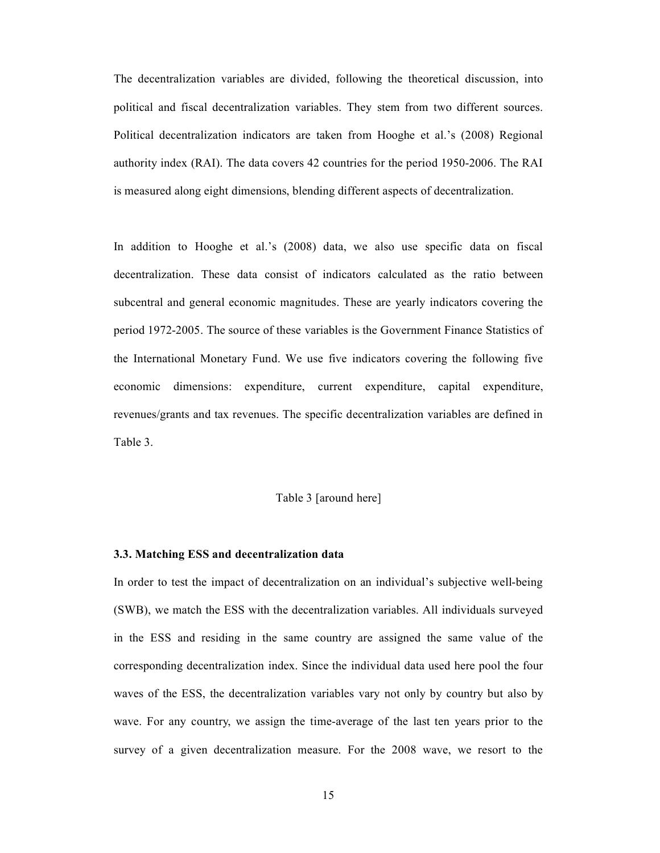The decentralization variables are divided, following the theoretical discussion, into political and fiscal decentralization variables. They stem from two different sources. Political decentralization indicators are taken from Hooghe et al.'s (2008) Regional authority index (RAI). The data covers 42 countries for the period 1950-2006. The RAI is measured along eight dimensions, blending different aspects of decentralization.

In addition to Hooghe et al.'s (2008) data, we also use specific data on fiscal decentralization. These data consist of indicators calculated as the ratio between subcentral and general economic magnitudes. These are yearly indicators covering the period 1972-2005. The source of these variables is the Government Finance Statistics of the International Monetary Fund. We use five indicators covering the following five economic dimensions: expenditure, current expenditure, capital expenditure, revenues/grants and tax revenues. The specific decentralization variables are defined in Table 3.

#### Table 3 [around here]

#### **3.3. Matching ESS and decentralization data**

In order to test the impact of decentralization on an individual's subjective well-being (SWB), we match the ESS with the decentralization variables. All individuals surveyed in the ESS and residing in the same country are assigned the same value of the corresponding decentralization index. Since the individual data used here pool the four waves of the ESS, the decentralization variables vary not only by country but also by wave. For any country, we assign the time-average of the last ten years prior to the survey of a given decentralization measure. For the 2008 wave, we resort to the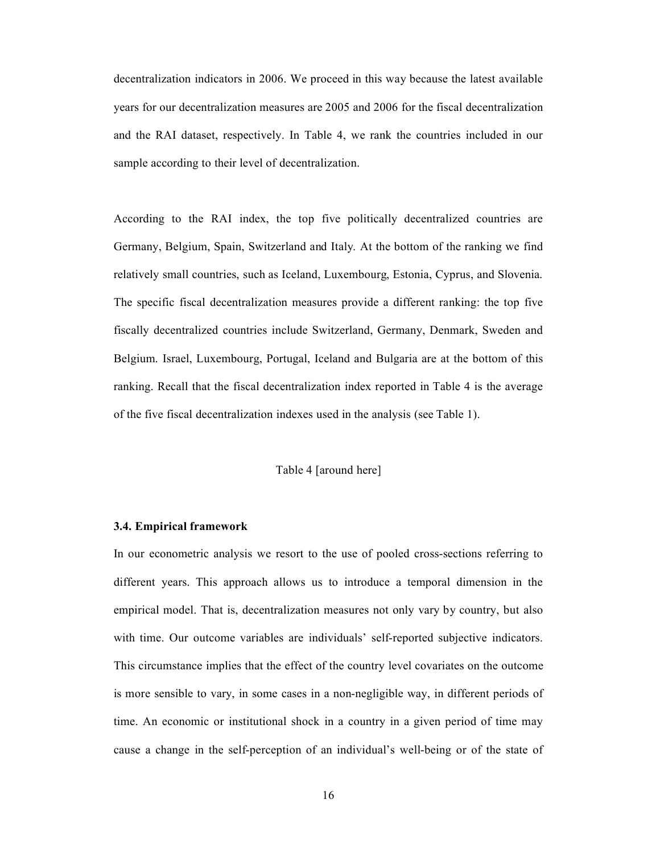decentralization indicators in 2006. We proceed in this way because the latest available years for our decentralization measures are 2005 and 2006 for the fiscal decentralization and the RAI dataset, respectively. In Table 4, we rank the countries included in our sample according to their level of decentralization.

According to the RAI index, the top five politically decentralized countries are Germany, Belgium, Spain, Switzerland and Italy. At the bottom of the ranking we find relatively small countries, such as Iceland, Luxembourg, Estonia, Cyprus, and Slovenia. The specific fiscal decentralization measures provide a different ranking: the top five fiscally decentralized countries include Switzerland, Germany, Denmark, Sweden and Belgium. Israel, Luxembourg, Portugal, Iceland and Bulgaria are at the bottom of this ranking. Recall that the fiscal decentralization index reported in Table 4 is the average of the five fiscal decentralization indexes used in the analysis (see Table 1).

#### Table 4 [around here]

#### **3.4. Empirical framework**

In our econometric analysis we resort to the use of pooled cross-sections referring to different years. This approach allows us to introduce a temporal dimension in the empirical model. That is, decentralization measures not only vary by country, but also with time. Our outcome variables are individuals' self-reported subjective indicators. This circumstance implies that the effect of the country level covariates on the outcome is more sensible to vary, in some cases in a non-negligible way, in different periods of time. An economic or institutional shock in a country in a given period of time may cause a change in the self-perception of an individual's well-being or of the state of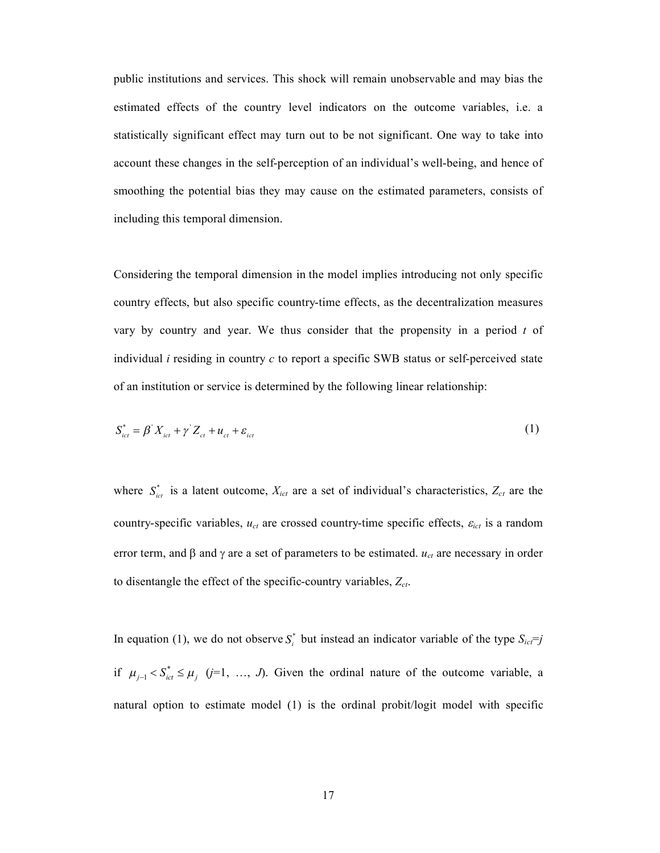public institutions and services. This shock will remain unobservable and may bias the estimated effects of the country level indicators on the outcome variables, i.e. a statistically significant effect may turn out to be not significant. One way to take into account these changes in the self-perception of an individual's well-being, and hence of smoothing the potential bias they may cause on the estimated parameters, consists of including this temporal dimension.

Considering the temporal dimension in the model implies introducing not only specific country effects, but also specific country-time effects, as the decentralization measures vary by country and year. We thus consider that the propensity in a period *t* of individual *i* residing in country *c* to report a specific SWB status or self-perceived state of an institution or service is determined by the following linear relationship:

$$
S_{ict}^* = \beta' X_{ict} + \gamma' Z_{ct} + u_{ct} + \varepsilon_{ict}
$$
 (1)

where  $S_{ict}^*$  is a latent outcome,  $X_{ict}$  are a set of individual's characteristics,  $Z_{ct}$  are the country-specific variables,  $u_{ct}$  are crossed country-time specific effects,  $\varepsilon_{ict}$  is a random error term, and  $\beta$  and  $\gamma$  are a set of parameters to be estimated.  $u_{ct}$  are necessary in order to disentangle the effect of the specific-country variables, *Zct*.

In equation (1), we do not observe  $S_i^*$  but instead an indicator variable of the type  $S_{ic} \equiv j$ if  $\mu_{j-1} < S_{ict}^* \leq \mu_j$  (*j*=1, …, *J*). Given the ordinal nature of the outcome variable, a natural option to estimate model (1) is the ordinal probit/logit model with specific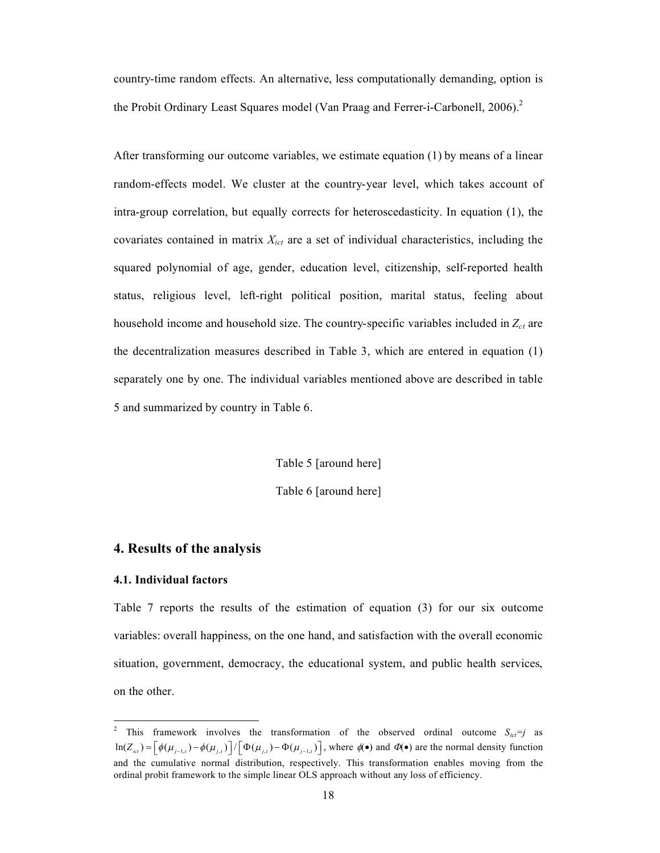country-time random effects. An alternative, less computationally demanding, option is the Probit Ordinary Least Squares model (Van Praag and Ferrer-i-Carbonell, 2006).<sup>2</sup>

After transforming our outcome variables, we estimate equation (1) by means of a linear random-effects model. We cluster at the country-year level, which takes account of intra-group correlation, but equally corrects for heteroscedasticity. In equation (1), the covariates contained in matrix *Xict* are a set of individual characteristics, including the squared polynomial of age, gender, education level, citizenship, self-reported health status, religious level, left-right political position, marital status, feeling about household income and household size. The country-specific variables included in  $Z_{ct}$  are the decentralization measures described in Table 3, which are entered in equation (1) separately one by one. The individual variables mentioned above are described in table 5 and summarized by country in Table 6.

Table 5 [around here]

Table 6 [around here]

#### **4. Results of the analysis**

#### **4.1. Individual factors**

Table 7 reports the results of the estimation of equation (3) for our six outcome variables: overall happiness, on the one hand, and satisfaction with the overall economic situation, government, democracy, the educational system, and public health services, on the other.

<sup>2</sup> This framework involves the transformation of the observed ordinal outcome  $S_{ict} = j$  as  $\ln(Z_{\text{ict}}) = \left[ \phi(\mu_{j-1,t}) - \phi(\mu_{j,t}) \right] / \left[ \Phi(\mu_{j,t}) - \Phi(\mu_{j-1,t}) \right]$ , where  $\phi(\bullet)$  and  $\Phi(\bullet)$  are the normal density function and the cumulative normal distribution, respectively. This transformation enables moving from the ordinal probit framework to the simple linear OLS approach without any loss of efficiency.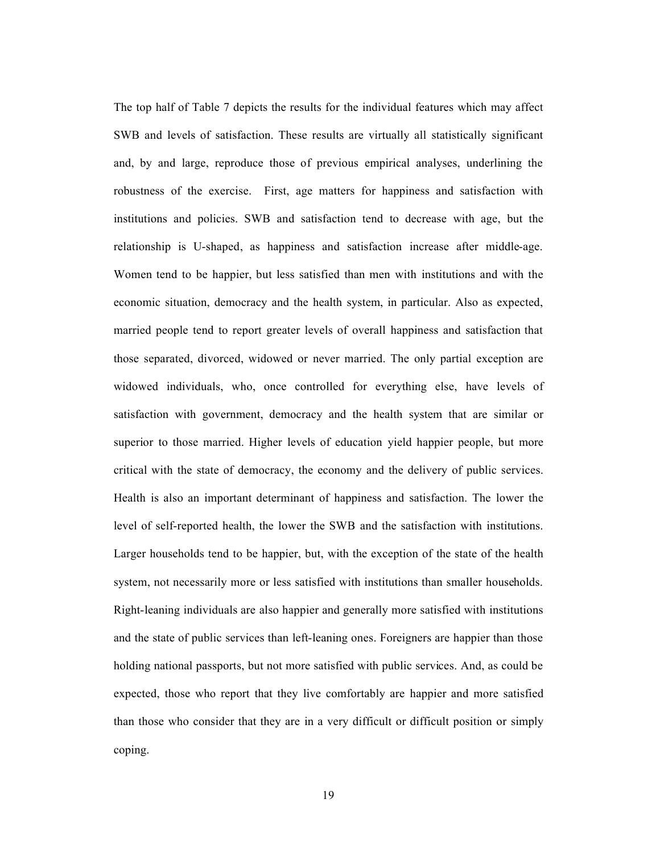The top half of Table 7 depicts the results for the individual features which may affect SWB and levels of satisfaction. These results are virtually all statistically significant and, by and large, reproduce those of previous empirical analyses, underlining the robustness of the exercise. First, age matters for happiness and satisfaction with institutions and policies. SWB and satisfaction tend to decrease with age, but the relationship is U-shaped, as happiness and satisfaction increase after middle-age. Women tend to be happier, but less satisfied than men with institutions and with the economic situation, democracy and the health system, in particular. Also as expected, married people tend to report greater levels of overall happiness and satisfaction that those separated, divorced, widowed or never married. The only partial exception are widowed individuals, who, once controlled for everything else, have levels of satisfaction with government, democracy and the health system that are similar or superior to those married. Higher levels of education yield happier people, but more critical with the state of democracy, the economy and the delivery of public services. Health is also an important determinant of happiness and satisfaction. The lower the level of self-reported health, the lower the SWB and the satisfaction with institutions. Larger households tend to be happier, but, with the exception of the state of the health system, not necessarily more or less satisfied with institutions than smaller households. Right-leaning individuals are also happier and generally more satisfied with institutions and the state of public services than left-leaning ones. Foreigners are happier than those holding national passports, but not more satisfied with public services. And, as could be expected, those who report that they live comfortably are happier and more satisfied than those who consider that they are in a very difficult or difficult position or simply coping.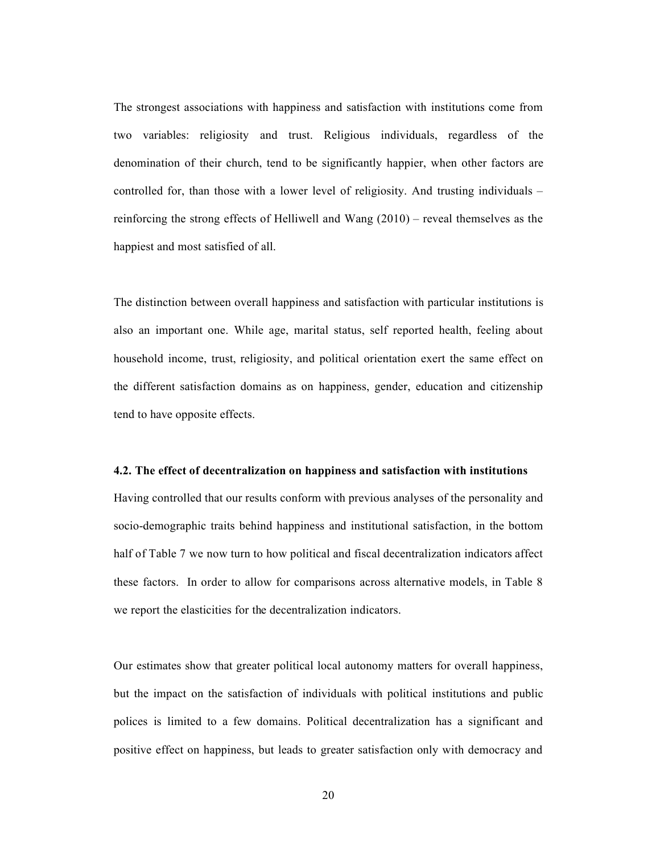The strongest associations with happiness and satisfaction with institutions come from two variables: religiosity and trust. Religious individuals, regardless of the denomination of their church, tend to be significantly happier, when other factors are controlled for, than those with a lower level of religiosity. And trusting individuals – reinforcing the strong effects of Helliwell and Wang (2010) – reveal themselves as the happiest and most satisfied of all.

The distinction between overall happiness and satisfaction with particular institutions is also an important one. While age, marital status, self reported health, feeling about household income, trust, religiosity, and political orientation exert the same effect on the different satisfaction domains as on happiness, gender, education and citizenship tend to have opposite effects.

#### **4.2. The effect of decentralization on happiness and satisfaction with institutions**

Having controlled that our results conform with previous analyses of the personality and socio-demographic traits behind happiness and institutional satisfaction, in the bottom half of Table 7 we now turn to how political and fiscal decentralization indicators affect these factors. In order to allow for comparisons across alternative models, in Table 8 we report the elasticities for the decentralization indicators.

Our estimates show that greater political local autonomy matters for overall happiness, but the impact on the satisfaction of individuals with political institutions and public polices is limited to a few domains. Political decentralization has a significant and positive effect on happiness, but leads to greater satisfaction only with democracy and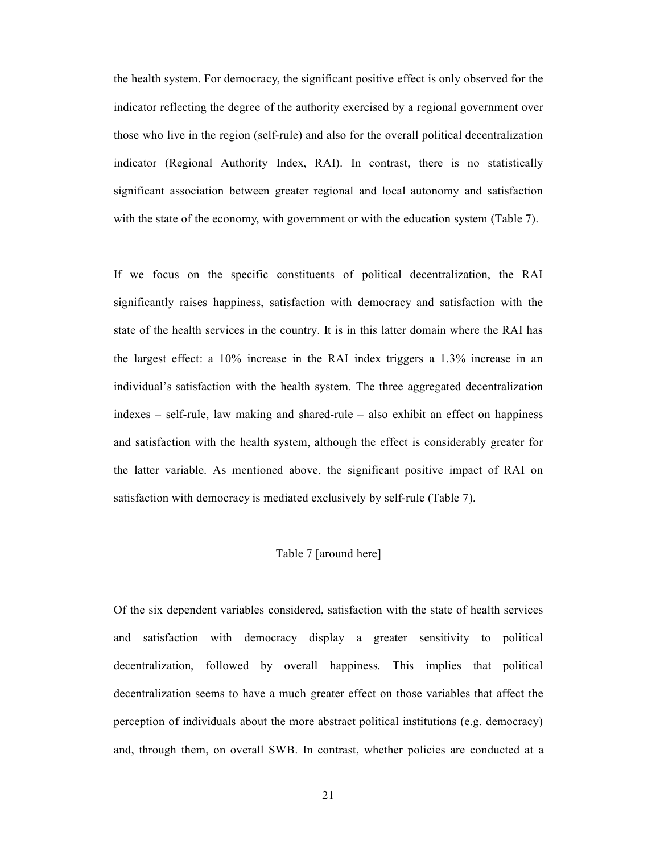the health system. For democracy, the significant positive effect is only observed for the indicator reflecting the degree of the authority exercised by a regional government over those who live in the region (self-rule) and also for the overall political decentralization indicator (Regional Authority Index, RAI). In contrast, there is no statistically significant association between greater regional and local autonomy and satisfaction with the state of the economy, with government or with the education system (Table 7).

If we focus on the specific constituents of political decentralization, the RAI significantly raises happiness, satisfaction with democracy and satisfaction with the state of the health services in the country. It is in this latter domain where the RAI has the largest effect: a 10% increase in the RAI index triggers a 1.3% increase in an individual's satisfaction with the health system. The three aggregated decentralization indexes – self-rule, law making and shared-rule – also exhibit an effect on happiness and satisfaction with the health system, although the effect is considerably greater for the latter variable. As mentioned above, the significant positive impact of RAI on satisfaction with democracy is mediated exclusively by self-rule (Table 7).

#### Table 7 [around here]

Of the six dependent variables considered, satisfaction with the state of health services and satisfaction with democracy display a greater sensitivity to political decentralization, followed by overall happiness. This implies that political decentralization seems to have a much greater effect on those variables that affect the perception of individuals about the more abstract political institutions (e.g. democracy) and, through them, on overall SWB. In contrast, whether policies are conducted at a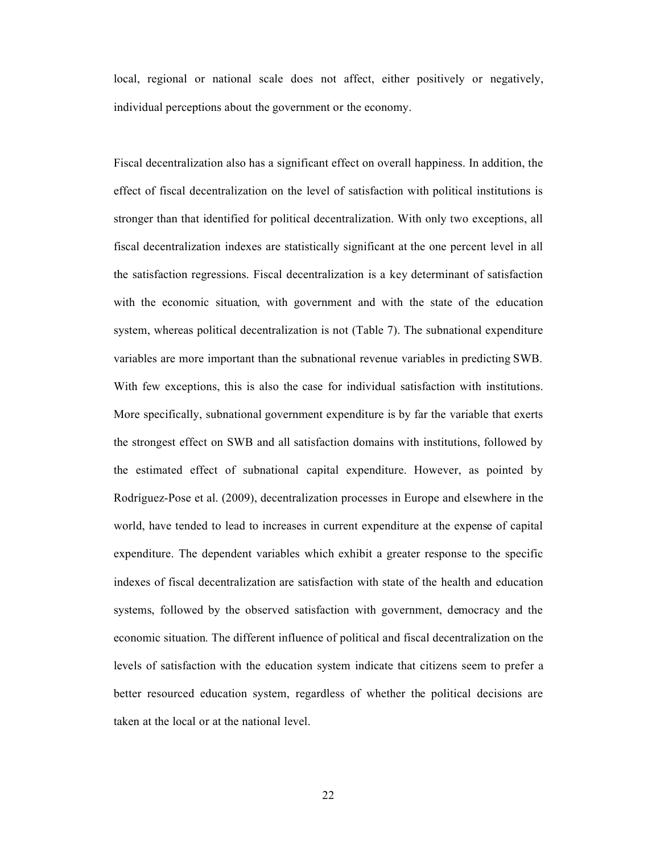local, regional or national scale does not affect, either positively or negatively, individual perceptions about the government or the economy.

Fiscal decentralization also has a significant effect on overall happiness. In addition, the effect of fiscal decentralization on the level of satisfaction with political institutions is stronger than that identified for political decentralization. With only two exceptions, all fiscal decentralization indexes are statistically significant at the one percent level in all the satisfaction regressions. Fiscal decentralization is a key determinant of satisfaction with the economic situation, with government and with the state of the education system, whereas political decentralization is not (Table 7). The subnational expenditure variables are more important than the subnational revenue variables in predicting SWB. With few exceptions, this is also the case for individual satisfaction with institutions. More specifically, subnational government expenditure is by far the variable that exerts the strongest effect on SWB and all satisfaction domains with institutions, followed by the estimated effect of subnational capital expenditure. However, as pointed by Rodríguez-Pose et al. (2009), decentralization processes in Europe and elsewhere in the world, have tended to lead to increases in current expenditure at the expense of capital expenditure. The dependent variables which exhibit a greater response to the specific indexes of fiscal decentralization are satisfaction with state of the health and education systems, followed by the observed satisfaction with government, democracy and the economic situation. The different influence of political and fiscal decentralization on the levels of satisfaction with the education system indicate that citizens seem to prefer a better resourced education system, regardless of whether the political decisions are taken at the local or at the national level.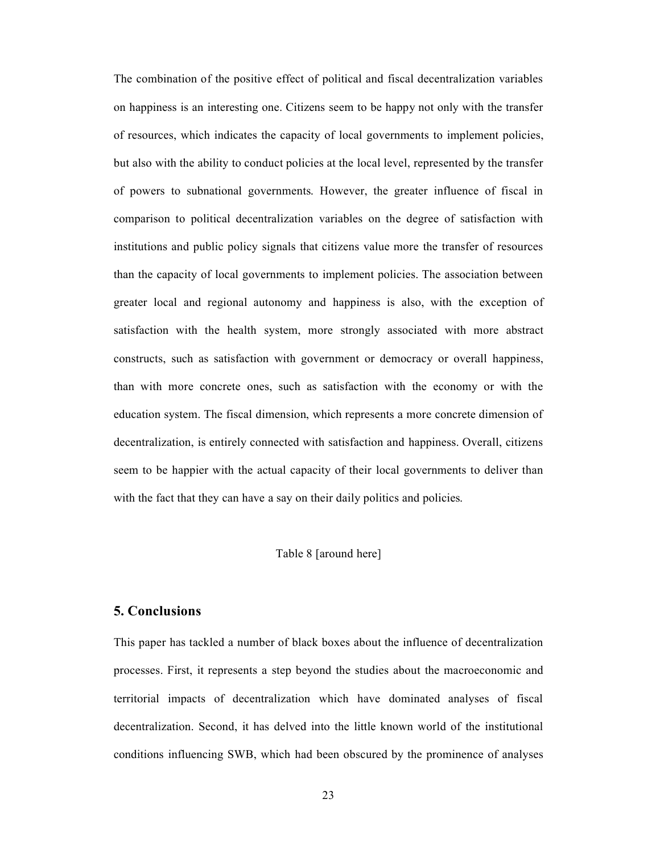The combination of the positive effect of political and fiscal decentralization variables on happiness is an interesting one. Citizens seem to be happy not only with the transfer of resources, which indicates the capacity of local governments to implement policies, but also with the ability to conduct policies at the local level, represented by the transfer of powers to subnational governments. However, the greater influence of fiscal in comparison to political decentralization variables on the degree of satisfaction with institutions and public policy signals that citizens value more the transfer of resources than the capacity of local governments to implement policies. The association between greater local and regional autonomy and happiness is also, with the exception of satisfaction with the health system, more strongly associated with more abstract constructs, such as satisfaction with government or democracy or overall happiness, than with more concrete ones, such as satisfaction with the economy or with the education system. The fiscal dimension, which represents a more concrete dimension of decentralization, is entirely connected with satisfaction and happiness. Overall, citizens seem to be happier with the actual capacity of their local governments to deliver than with the fact that they can have a say on their daily politics and policies.

#### Table 8 [around here]

#### **5. Conclusions**

This paper has tackled a number of black boxes about the influence of decentralization processes. First, it represents a step beyond the studies about the macroeconomic and territorial impacts of decentralization which have dominated analyses of fiscal decentralization. Second, it has delved into the little known world of the institutional conditions influencing SWB, which had been obscured by the prominence of analyses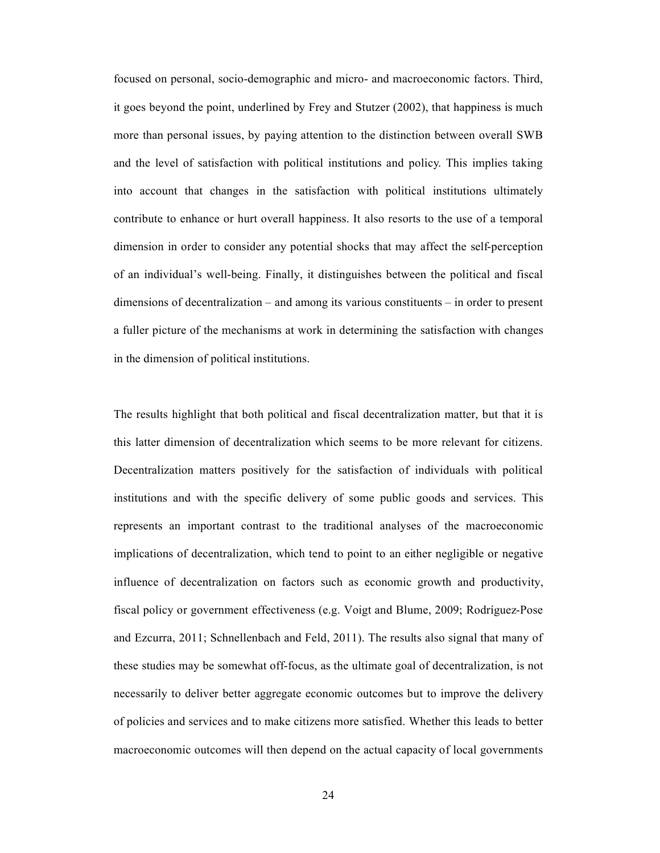focused on personal, socio-demographic and micro- and macroeconomic factors. Third, it goes beyond the point, underlined by Frey and Stutzer (2002), that happiness is much more than personal issues, by paying attention to the distinction between overall SWB and the level of satisfaction with political institutions and policy. This implies taking into account that changes in the satisfaction with political institutions ultimately contribute to enhance or hurt overall happiness. It also resorts to the use of a temporal dimension in order to consider any potential shocks that may affect the self-perception of an individual's well-being. Finally, it distinguishes between the political and fiscal dimensions of decentralization – and among its various constituents – in order to present a fuller picture of the mechanisms at work in determining the satisfaction with changes in the dimension of political institutions.

The results highlight that both political and fiscal decentralization matter, but that it is this latter dimension of decentralization which seems to be more relevant for citizens. Decentralization matters positively for the satisfaction of individuals with political institutions and with the specific delivery of some public goods and services. This represents an important contrast to the traditional analyses of the macroeconomic implications of decentralization, which tend to point to an either negligible or negative influence of decentralization on factors such as economic growth and productivity, fiscal policy or government effectiveness (e.g. Voigt and Blume, 2009; Rodríguez-Pose and Ezcurra, 2011; Schnellenbach and Feld, 2011). The results also signal that many of these studies may be somewhat off-focus, as the ultimate goal of decentralization, is not necessarily to deliver better aggregate economic outcomes but to improve the delivery of policies and services and to make citizens more satisfied. Whether this leads to better macroeconomic outcomes will then depend on the actual capacity of local governments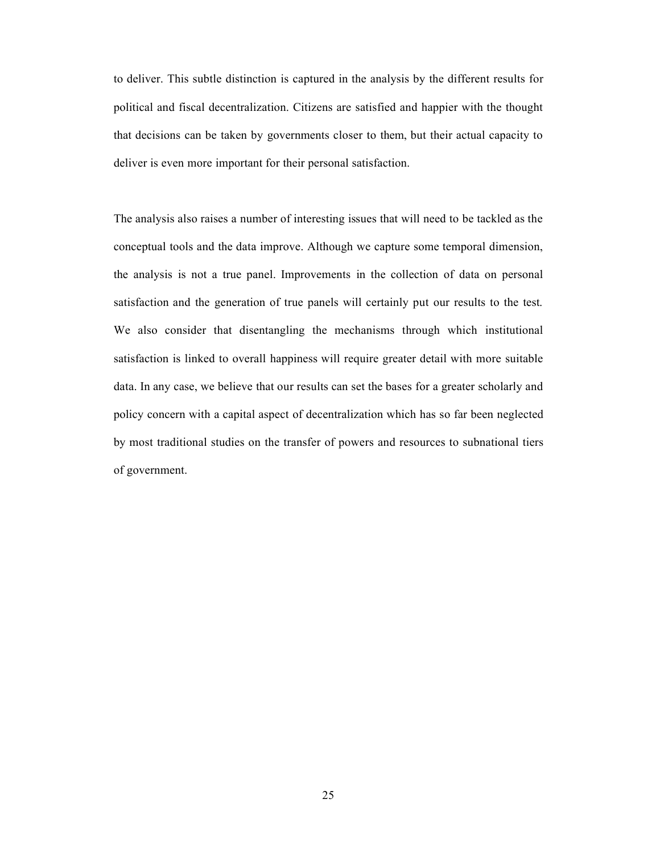to deliver. This subtle distinction is captured in the analysis by the different results for political and fiscal decentralization. Citizens are satisfied and happier with the thought that decisions can be taken by governments closer to them, but their actual capacity to deliver is even more important for their personal satisfaction.

The analysis also raises a number of interesting issues that will need to be tackled as the conceptual tools and the data improve. Although we capture some temporal dimension, the analysis is not a true panel. Improvements in the collection of data on personal satisfaction and the generation of true panels will certainly put our results to the test. We also consider that disentangling the mechanisms through which institutional satisfaction is linked to overall happiness will require greater detail with more suitable data. In any case, we believe that our results can set the bases for a greater scholarly and policy concern with a capital aspect of decentralization which has so far been neglected by most traditional studies on the transfer of powers and resources to subnational tiers of government.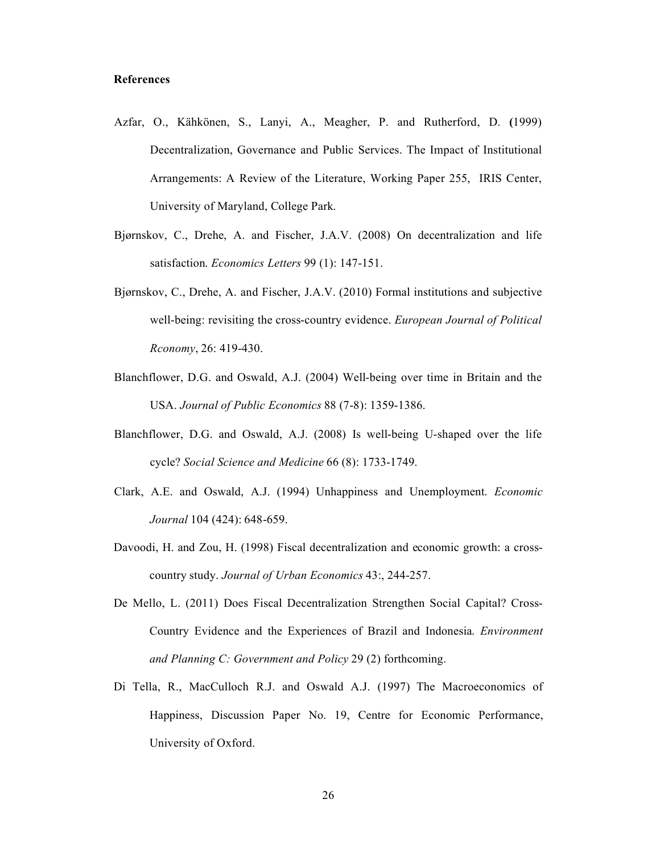#### **References**

- Azfar, O., Kçhkénen, S., Lanyi, A., Meagher, P. and Rutherford, D. **(**1999) Decentralization, Governance and Public Services. The Impact of Institutional Arrangements: A Review of the Literature, Working Paper 255, IRIS Center, University of Maryland, College Park.
- Bjárnskov, C., Drehe, A. and Fischer, J.A.V. (2008) On decentralization and life satisfaction. *Economics Letters* 99 (1): 147-151.
- Bjárnskov, C., Drehe, A. and Fischer, J.A.V. (2010) Formal institutions and subjective well-being: revisiting the cross-country evidence. *European Journal of Political Rconomy*, 26: 419-430.
- Blanchflower, D.G. and Oswald, A.J. (2004) Well-being over time in Britain and the USA. *Journal of Public Economics* 88 (7-8): 1359-1386.
- Blanchflower, D.G. and Oswald, A.J. (2008) Is well-being U-shaped over the life cycle? *Social Science and Medicine* 66 (8): 1733-1749.
- Clark, A.E. and Oswald, A.J. (1994) Unhappiness and Unemployment. *Economic Journal* 104 (424): 648-659.
- Davoodi, H. and Zou, H. (1998) Fiscal decentralization and economic growth: a crosscountry study. *Journal of Urban Economics* 43:, 244-257.
- De Mello, L. (2011) Does Fiscal Decentralization Strengthen Social Capital? Cross-Country Evidence and the Experiences of Brazil and Indonesia. *Environment and Planning C: Government and Policy* 29 (2) forthcoming.
- Di Tella, R., MacCulloch R.J. and Oswald A.J. (1997) The Macroeconomics of Happiness, Discussion Paper No. 19, Centre for Economic Performance, University of Oxford.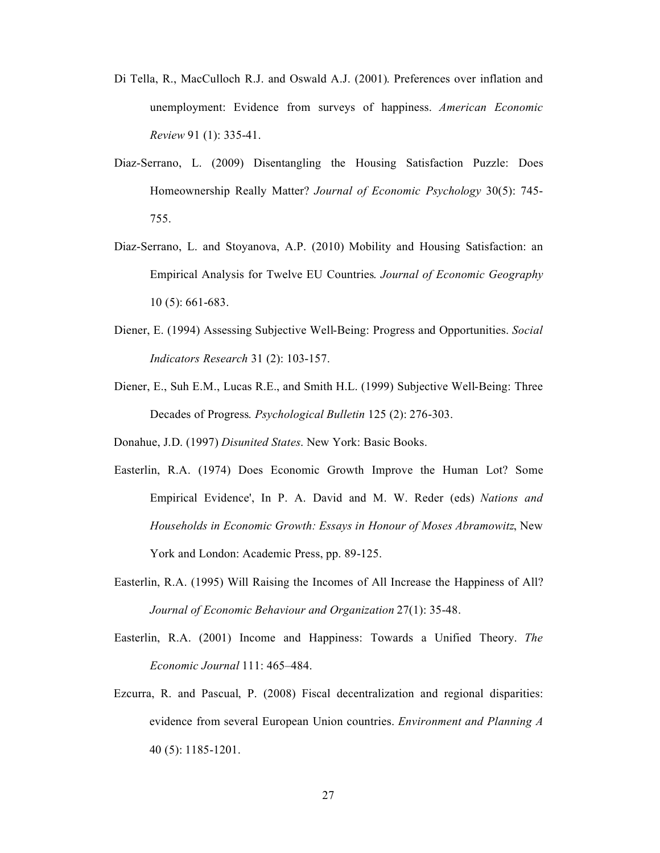- Di Tella, R., MacCulloch R.J. and Oswald A.J. (2001). Preferences over inflation and unemployment: Evidence from surveys of happiness. *American Economic Review* 91 (1): 335-41.
- Diaz-Serrano, L. (2009) Disentangling the Housing Satisfaction Puzzle: Does Homeownership Really Matter? *Journal of Economic Psychology* 30(5): 745- 755.
- Diaz-Serrano, L. and Stoyanova, A.P. (2010) Mobility and Housing Satisfaction: an Empirical Analysis for Twelve EU Countries. *Journal of Economic Geography* 10 (5): 661-683.
- Diener, E. (1994) Assessing Subjective Well-Being: Progress and Opportunities. *Social Indicators Research* 31 (2): 103-157.
- Diener, E., Suh E.M., Lucas R.E., and Smith H.L. (1999) Subjective Well-Being: Three Decades of Progress. *Psychological Bulletin* 125 (2): 276-303.
- Donahue, J.D. (1997) *Disunited States*. New York: Basic Books.
- Easterlin, R.A. (1974) Does Economic Growth Improve the Human Lot? Some Empirical Evidence', In P. A. David and M. W. Reder (eds) *Nations and Households in Economic Growth: Essays in Honour of Moses Abramowitz*, New York and London: Academic Press, pp. 89-125.
- Easterlin, R.A. (1995) Will Raising the Incomes of All Increase the Happiness of All? *Journal of Economic Behaviour and Organization* 27(1): 35-48.
- Easterlin, R.A. (2001) Income and Happiness: Towards a Unified Theory. *The Economic Journal* 111: 465–484.
- Ezcurra, R. and Pascual, P. (2008) Fiscal decentralization and regional disparities: evidence from several European Union countries. *Environment and Planning A* 40 (5): 1185-1201.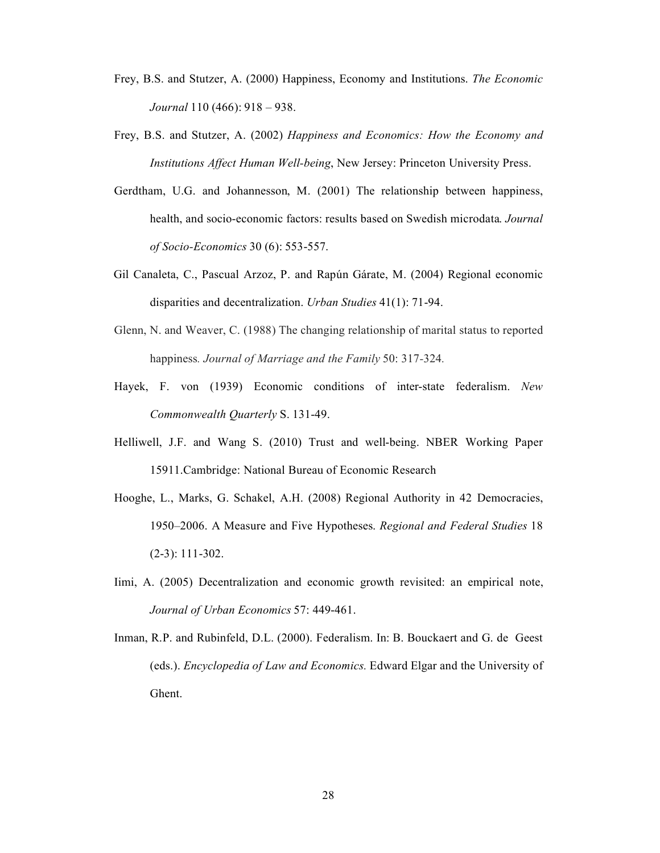- Frey, B.S. and Stutzer, A. (2000) Happiness, Economy and Institutions. *The Economic Journal* 110 (466): 918 – 938.
- Frey, B.S. and Stutzer, A. (2002) *Happiness and Economics: How the Economy and Institutions Affect Human Well-being*, New Jersey: Princeton University Press.
- Gerdtham, U.G. and Johannesson, M. (2001) The relationship between happiness, health, and socio-economic factors: results based on Swedish microdata. *Journal of Socio-Economics* 30 (6): 553-557.
- Gil Canaleta, C., Pascual Arzoz, P. and Rapún Gárate, M. (2004) Regional economic disparities and decentralization. *Urban Studies* 41(1): 71-94.
- Glenn, N. and Weaver, C. (1988) The changing relationship of marital status to reported happiness*. Journal of Marriage and the Family* 50: 317*-*324*.*
- Hayek, F. von (1939) Economic conditions of inter-state federalism. *New Commonwealth Quarterly* S. 131-49.
- Helliwell, J.F. and Wang S. (2010) Trust and well-being. NBER Working Paper 15911.Cambridge: National Bureau of Economic Research
- Hooghe, L., Marks, G. Schakel, A.H. (2008) Regional Authority in 42 Democracies, 1950–2006. A Measure and Five Hypotheses. *Regional and Federal Studies* 18 (2-3): 111-302.
- Iimi, A. (2005) Decentralization and economic growth revisited: an empirical note, *Journal of Urban Economics* 57: 449-461.
- Inman, R.P. and Rubinfeld, D.L. (2000). Federalism. In: B. Bouckaert and G. de Geest (eds.). *Encyclopedia of Law and Economics.* Edward Elgar and the University of Ghent.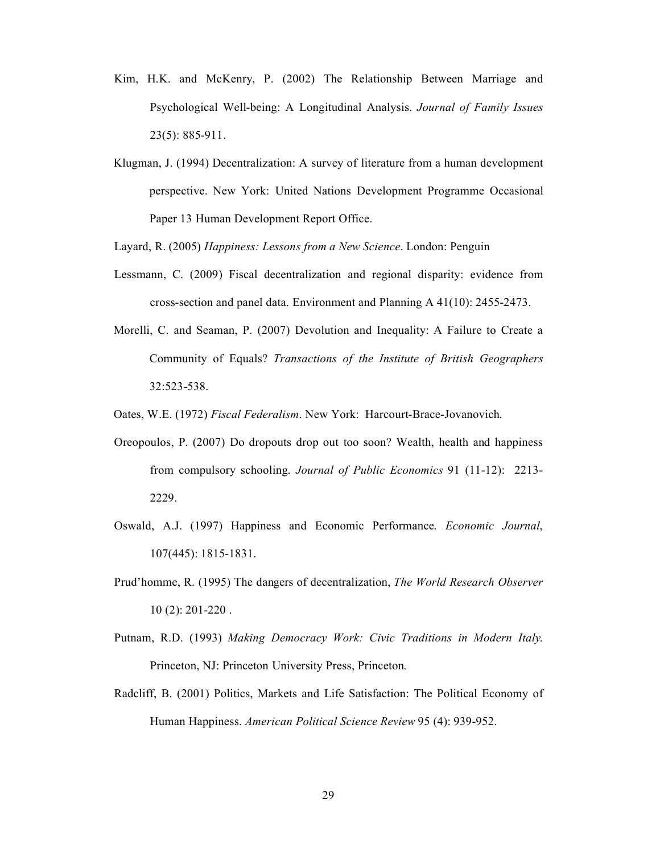- Kim, H.K. and McKenry, P. (2002) The Relationship Between Marriage and Psychological Well-being: A Longitudinal Analysis. *Journal of Family Issues* 23(5): 885-911.
- Klugman, J. (1994) Decentralization: A survey of literature from a human development perspective. New York: United Nations Development Programme Occasional Paper 13 Human Development Report Office.

Layard, R. (2005) *Happiness: Lessons from a New Science*. London: Penguin

- Lessmann, C. (2009) Fiscal decentralization and regional disparity: evidence from cross-section and panel data. Environment and Planning A 41(10): 2455-2473.
- Morelli, C. and Seaman, P. (2007) Devolution and Inequality: A Failure to Create a Community of Equals? *Transactions of the Institute of British Geographers* 32:523-538.

Oates, W.E. (1972) *Fiscal Federalism*. New York: Harcourt-Brace-Jovanovich.

- Oreopoulos, P. (2007) Do dropouts drop out too soon? Wealth, health and happiness from compulsory schooling. *Journal of Public Economics* 91 (11-12): 2213- 2229.
- Oswald, A.J. (1997) Happiness and Economic Performance. *Economic Journal*, 107(445): 1815-1831.
- Prud'homme, R. (1995) The dangers of decentralization, *The World Research Observer* 10 (2): 201-220 .
- Putnam, R.D. (1993) *Making Democracy Work: Civic Traditions in Modern Italy*. Princeton, NJ: Princeton University Press, Princeton.
- Radcliff, B. (2001) Politics, Markets and Life Satisfaction: The Political Economy of Human Happiness. *American Political Science Review* 95 (4): 939-952.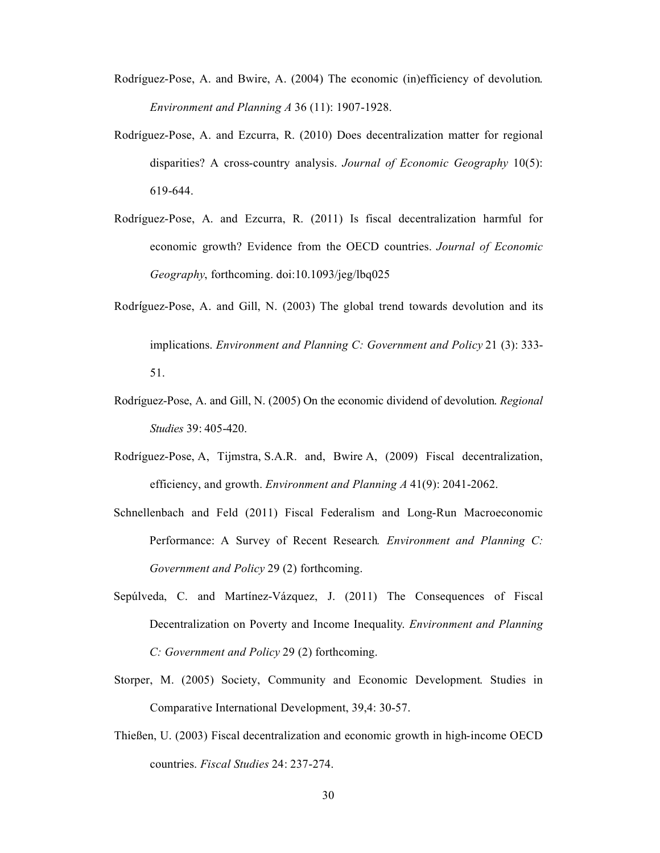- Rodríguez-Pose, A. and Bwire, A. (2004) The economic (in)efficiency of devolution. *Environment and Planning A* 36 (11): 1907-1928.
- Rodríguez-Pose, A. and Ezcurra, R. (2010) Does decentralization matter for regional disparities? A cross-country analysis. *Journal of Economic Geography* 10(5): 619-644.
- Rodríguez-Pose, A. and Ezcurra, R. (2011) Is fiscal decentralization harmful for economic growth? Evidence from the OECD countries. *Journal of Economic Geography*, forthcoming. doi:10.1093/jeg/lbq025
- Rodríguez-Pose, A. and Gill, N. (2003) The global trend towards devolution and its implications. *Environment and Planning C: Government and Policy* 21 (3): 333- 51.
- Rodríguez-Pose, A. and Gill, N. (2005) On the economic dividend of devolution. *Regional Studies* 39: 405-420.
- Rodríguez-Pose, A, Tijmstra, S.A.R. and, Bwire A, (2009) Fiscal decentralization, efficiency, and growth. *Environment and Planning A* 41(9): 2041-2062.
- Schnellenbach and Feld (2011) Fiscal Federalism and Long-Run Macroeconomic Performance: A Survey of Recent Research*. Environment and Planning C: Government and Policy* 29 (2) forthcoming.
- Sepúlveda, C. and Martínez-Vázquez, J. (2011) The Consequences of Fiscal Decentralization on Poverty and Income Inequality. *Environment and Planning C: Government and Policy* 29 (2) forthcoming.
- Storper, M. (2005) Society, Community and Economic Development. Studies in Comparative International Development, 39,4: 30-57.
- ThieÑen, U. (2003) Fiscal decentralization and economic growth in high-income OECD countries. *Fiscal Studies* 24: 237-274.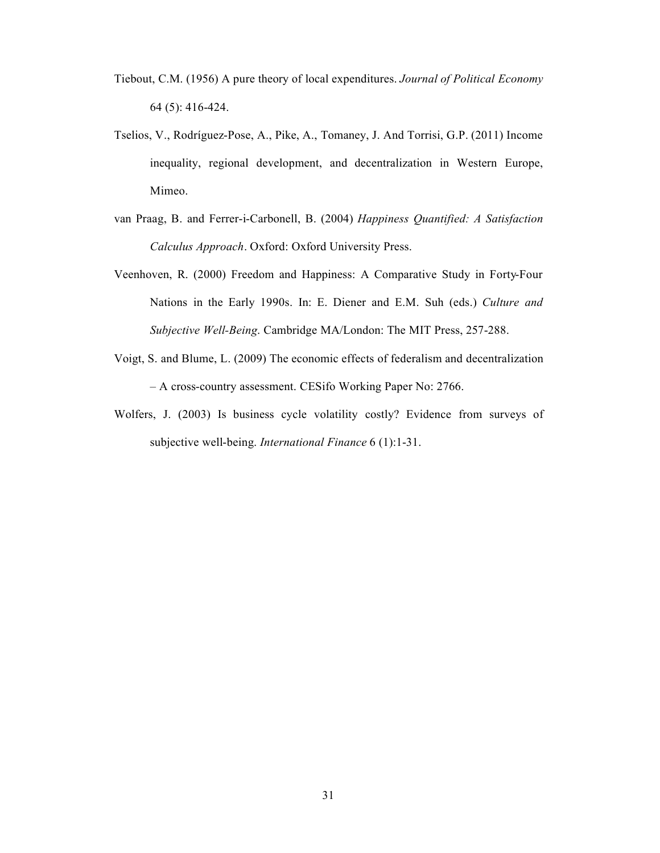- Tiebout, C.M. (1956) A pure theory of local expenditures. *Journal of Political Economy* 64 (5): 416-424.
- Tselios, V., Rodríguez-Pose, A., Pike, A., Tomaney, J. And Torrisi, G.P. (2011) Income inequality, regional development, and decentralization in Western Europe, Mimeo.
- van Praag, B. and Ferrer-i-Carbonell, B. (2004) *Happiness Quantified: A Satisfaction Calculus Approach*. Oxford: Oxford University Press.
- Veenhoven, R. (2000) Freedom and Happiness: A Comparative Study in Forty-Four Nations in the Early 1990s. In: E. Diener and E.M. Suh (eds.) *Culture and Subjective Well-Being*. Cambridge MA/London: The MIT Press, 257-288.
- Voigt, S. and Blume, L. (2009) The economic effects of federalism and decentralization – A cross-country assessment. CESifo Working Paper No: 2766.
- Wolfers, J. (2003) Is business cycle volatility costly? Evidence from surveys of subjective well-being. *International Finance* 6 (1):1-31.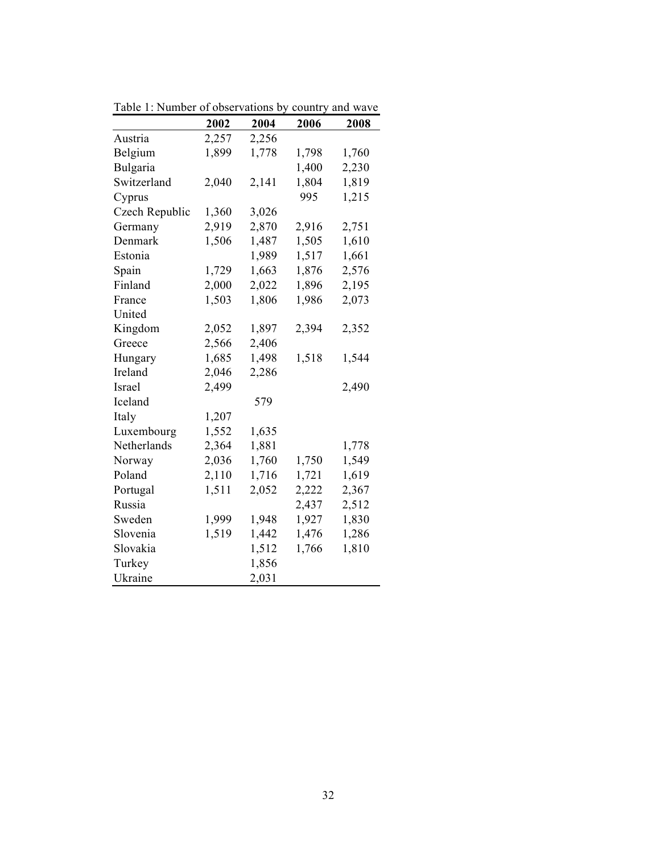|                | 2002  | 2004  | 2006  | 2008  |
|----------------|-------|-------|-------|-------|
| Austria        | 2,257 | 2,256 |       |       |
| Belgium        | 1,899 | 1,778 | 1,798 | 1,760 |
| Bulgaria       |       |       | 1,400 | 2,230 |
| Switzerland    | 2,040 | 2,141 | 1,804 | 1,819 |
| Cyprus         |       |       | 995   | 1,215 |
| Czech Republic | 1,360 | 3,026 |       |       |
| Germany        | 2,919 | 2,870 | 2,916 | 2,751 |
| Denmark        | 1,506 | 1,487 | 1,505 | 1,610 |
| Estonia        |       | 1,989 | 1,517 | 1,661 |
| Spain          | 1,729 | 1,663 | 1,876 | 2,576 |
| Finland        | 2,000 | 2,022 | 1,896 | 2,195 |
| France         | 1,503 | 1,806 | 1,986 | 2,073 |
| United         |       |       |       |       |
| Kingdom        | 2,052 | 1,897 | 2,394 | 2,352 |
| Greece         | 2,566 | 2,406 |       |       |
| Hungary        | 1,685 | 1,498 | 1,518 | 1,544 |
| Ireland        | 2,046 | 2,286 |       |       |
| Israel         | 2,499 |       |       | 2,490 |
| Iceland        |       | 579   |       |       |
| Italy          | 1,207 |       |       |       |
| Luxembourg     | 1,552 | 1,635 |       |       |
| Netherlands    | 2,364 | 1,881 |       | 1,778 |
| Norway         | 2,036 | 1,760 | 1,750 | 1,549 |
| Poland         | 2,110 | 1,716 | 1,721 | 1,619 |
| Portugal       | 1,511 | 2,052 | 2,222 | 2,367 |
| Russia         |       |       | 2,437 | 2,512 |
| Sweden         | 1,999 | 1,948 | 1,927 | 1,830 |
| Slovenia       | 1,519 | 1,442 | 1,476 | 1,286 |
| Slovakia       |       | 1,512 | 1,766 | 1,810 |
| Turkey         |       | 1,856 |       |       |
| Ukraine        |       | 2,031 |       |       |

Table 1: Number of observations by country and wave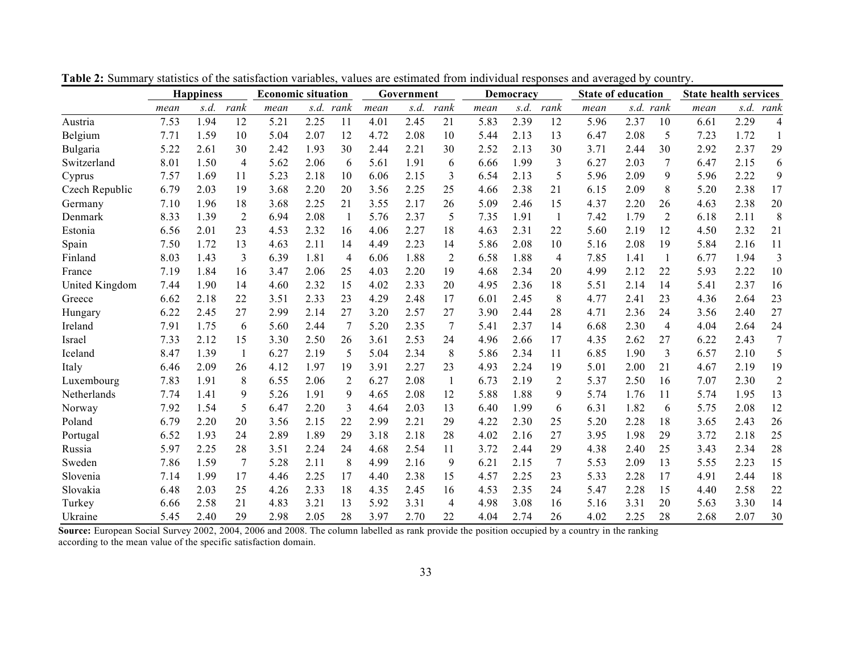|                | <b>Happiness</b> |      | <b>Economic situation</b> |      | Government |      |      | Democracy |      |      | <b>State of education</b> |      |      | <b>State health services</b> |                |      |      |                |
|----------------|------------------|------|---------------------------|------|------------|------|------|-----------|------|------|---------------------------|------|------|------------------------------|----------------|------|------|----------------|
|                | mean             | s.d. | rank                      | mean | s.d.       | rank | mean | s.d.      | rank | mean | s.d.                      | rank | mean |                              | s.d. rank      | mean | s.d. | rank           |
| Austria        | 7.53             | 1.94 | 12                        | 5.21 | 2.25       | 11   | 4.01 | 2.45      | 21   | 5.83 | 2.39                      | 12   | 5.96 | 2.37                         | 10             | 6.61 | 2.29 | 4              |
| Belgium        | 7.71             | 1.59 | 10                        | 5.04 | 2.07       | 12   | 4.72 | 2.08      | 10   | 5.44 | 2.13                      | 13   | 6.47 | 2.08                         | 5              | 7.23 | 1.72 | 1              |
| Bulgaria       | 5.22             | 2.61 | 30                        | 2.42 | 1.93       | 30   | 2.44 | 2.21      | 30   | 2.52 | 2.13                      | 30   | 3.71 | 2.44                         | 30             | 2.92 | 2.37 | 29             |
| Switzerland    | 8.01             | 1.50 | $\overline{4}$            | 5.62 | 2.06       | 6    | 5.61 | 1.91      | 6    | 6.66 | 1.99                      | 3    | 6.27 | 2.03                         | 7              | 6.47 | 2.15 | 6              |
| Cyprus         | 7.57             | 1.69 | 11                        | 5.23 | 2.18       | 10   | 6.06 | 2.15      | 3    | 6.54 | 2.13                      | 5    | 5.96 | 2.09                         | 9              | 5.96 | 2.22 | 9              |
| Czech Republic | 6.79             | 2.03 | 19                        | 3.68 | 2.20       | 20   | 3.56 | 2.25      | 25   | 4.66 | 2.38                      | 21   | 6.15 | 2.09                         | 8              | 5.20 | 2.38 | 17             |
| Germany        | 7.10             | 1.96 | 18                        | 3.68 | 2.25       | 21   | 3.55 | 2.17      | 26   | 5.09 | 2.46                      | 15   | 4.37 | 2.20                         | 26             | 4.63 | 2.38 | 20             |
| Denmark        | 8.33             | 1.39 | 2                         | 6.94 | 2.08       | -1   | 5.76 | 2.37      | 5    | 7.35 | 1.91                      | -1   | 7.42 | 1.79                         | 2              | 6.18 | 2.11 | 8              |
| Estonia        | 6.56             | 2.01 | 23                        | 4.53 | 2.32       | 16   | 4.06 | 2.27      | 18   | 4.63 | 2.31                      | 22   | 5.60 | 2.19                         | 12             | 4.50 | 2.32 | 21             |
| Spain          | 7.50             | 1.72 | 13                        | 4.63 | 2.11       | 14   | 4.49 | 2.23      | 14   | 5.86 | 2.08                      | 10   | 5.16 | 2.08                         | 19             | 5.84 | 2.16 | 11             |
| Finland        | 8.03             | 1.43 | 3                         | 6.39 | 1.81       | 4    | 6.06 | 1.88      | 2    | 6.58 | 1.88                      | 4    | 7.85 | 1.41                         | -1             | 6.77 | 1.94 | 3              |
| France         | 7.19             | 1.84 | 16                        | 3.47 | 2.06       | 25   | 4.03 | 2.20      | 19   | 4.68 | 2.34                      | 20   | 4.99 | 2.12                         | 22             | 5.93 | 2.22 | 10             |
| United Kingdom | 7.44             | 1.90 | 14                        | 4.60 | 2.32       | 15   | 4.02 | 2.33      | 20   | 4.95 | 2.36                      | 18   | 5.51 | 2.14                         | 14             | 5.41 | 2.37 | 16             |
| Greece         | 6.62             | 2.18 | 22                        | 3.51 | 2.33       | 23   | 4.29 | 2.48      | 17   | 6.01 | 2.45                      | 8    | 4.77 | 2.41                         | 23             | 4.36 | 2.64 | 23             |
| Hungary        | 6.22             | 2.45 | 27                        | 2.99 | 2.14       | 27   | 3.20 | 2.57      | 27   | 3.90 | 2.44                      | 28   | 4.71 | 2.36                         | 24             | 3.56 | 2.40 | 27             |
| Ireland        | 7.91             | 1.75 | 6                         | 5.60 | 2.44       | 7    | 5.20 | 2.35      | 7    | 5.41 | 2.37                      | 14   | 6.68 | 2.30                         | $\overline{4}$ | 4.04 | 2.64 | 24             |
| Israel         | 7.33             | 2.12 | 15                        | 3.30 | 2.50       | 26   | 3.61 | 2.53      | 24   | 4.96 | 2.66                      | 17   | 4.35 | 2.62                         | 27             | 6.22 | 2.43 | 7              |
| Iceland        | 8.47             | 1.39 | $\mathbf{1}$              | 6.27 | 2.19       | 5    | 5.04 | 2.34      | 8    | 5.86 | 2.34                      | 11   | 6.85 | 1.90                         | 3              | 6.57 | 2.10 | 5              |
| Italy          | 6.46             | 2.09 | 26                        | 4.12 | 1.97       | 19   | 3.91 | 2.27      | 23   | 4.93 | 2.24                      | 19   | 5.01 | 2.00                         | 21             | 4.67 | 2.19 | 19             |
| Luxembourg     | 7.83             | 1.91 | 8                         | 6.55 | 2.06       | 2    | 6.27 | 2.08      | 1    | 6.73 | 2.19                      | 2    | 5.37 | 2.50                         | 16             | 7.07 | 2.30 | $\overline{2}$ |
| Netherlands    | 7.74             | 1.41 | 9                         | 5.26 | 1.91       | 9    | 4.65 | 2.08      | 12   | 5.88 | 1.88                      | 9    | 5.74 | 1.76                         | 11             | 5.74 | 1.95 | 13             |
| Norway         | 7.92             | 1.54 | 5                         | 6.47 | 2.20       | 3    | 4.64 | 2.03      | 13   | 6.40 | 1.99                      | 6    | 6.31 | 1.82                         | 6              | 5.75 | 2.08 | 12             |
| Poland         | 6.79             | 2.20 | 20                        | 3.56 | 2.15       | 22   | 2.99 | 2.21      | 29   | 4.22 | 2.30                      | 25   | 5.20 | 2.28                         | 18             | 3.65 | 2.43 | 26             |
| Portugal       | 6.52             | 1.93 | 24                        | 2.89 | 1.89       | 29   | 3.18 | 2.18      | 28   | 4.02 | 2.16                      | 27   | 3.95 | 1.98                         | 29             | 3.72 | 2.18 | 25             |
| Russia         | 5.97             | 2.25 | 28                        | 3.51 | 2.24       | 24   | 4.68 | 2.54      | 11   | 3.72 | 2.44                      | 29   | 4.38 | 2.40                         | 25             | 3.43 | 2.34 | 28             |
| Sweden         | 7.86             | 1.59 | 7                         | 5.28 | 2.11       | 8    | 4.99 | 2.16      | 9    | 6.21 | 2.15                      | 7    | 5.53 | 2.09                         | 13             | 5.55 | 2.23 | 15             |
| Slovenia       | 7.14             | 1.99 | 17                        | 4.46 | 2.25       | 17   | 4.40 | 2.38      | 15   | 4.57 | 2.25                      | 23   | 5.33 | 2.28                         | 17             | 4.91 | 2.44 | 18             |
| Slovakia       | 6.48             | 2.03 | 25                        | 4.26 | 2.33       | 18   | 4.35 | 2.45      | 16   | 4.53 | 2.35                      | 24   | 5.47 | 2.28                         | 15             | 4.40 | 2.58 | 22             |
| Turkey         | 6.66             | 2.58 | 21                        | 4.83 | 3.21       | 13   | 5.92 | 3.31      | 4    | 4.98 | 3.08                      | 16   | 5.16 | 3.31                         | 20             | 5.63 | 3.30 | 14             |
| Ukraine        | 5.45             | 2.40 | 29                        | 2.98 | 2.05       | 28   | 3.97 | 2.70      | 22   | 4.04 | 2.74                      | 26   | 4.02 | 2.25                         | 28             | 2.68 | 2.07 | 30             |

**Table 2:** Summary statistics of the satisfaction variables, values are estimated from individual responses and averaged by country.

**Source:** European Social Survey 2002, 2004, 2006 and 2008. The column labelled as rank provide the position occupied by a country in the ranking according to the mean value of the specific satisfaction domain.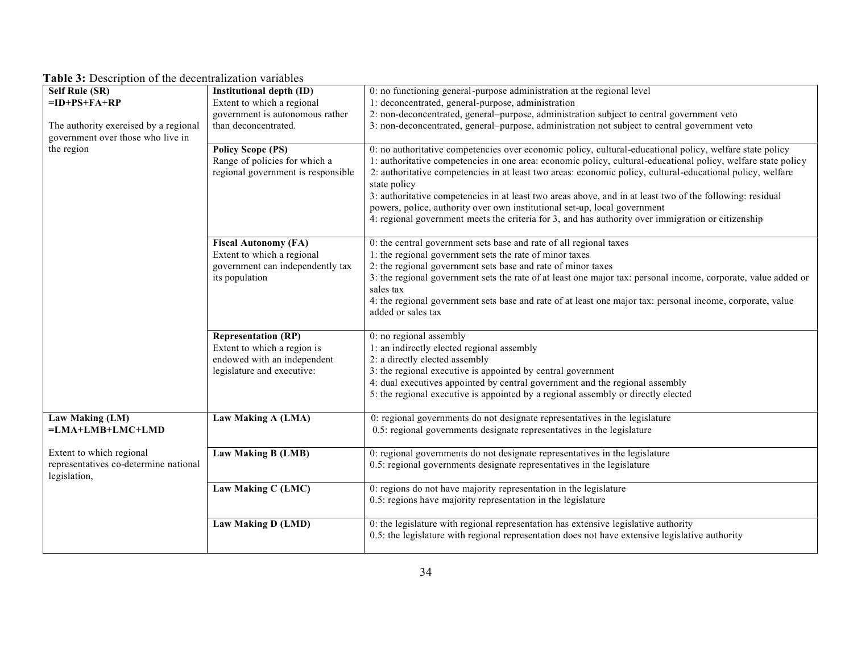| Table 3: Description of the decentralization variables |  |
|--------------------------------------------------------|--|
|--------------------------------------------------------|--|

| wore exposured on the accentralization randoles<br><b>Self Rule (SR)</b> | Institutional depth (ID)           | 0: no functioning general-purpose administration at the regional level                                         |
|--------------------------------------------------------------------------|------------------------------------|----------------------------------------------------------------------------------------------------------------|
| $=$ ID+PS+FA+RP                                                          | Extent to which a regional         | 1: deconcentrated, general-purpose, administration                                                             |
|                                                                          | government is autonomous rather    | 2: non-deconcentrated, general-purpose, administration subject to central government veto                      |
|                                                                          |                                    |                                                                                                                |
| The authority exercised by a regional                                    | than deconcentrated.               | 3: non-deconcentrated, general-purpose, administration not subject to central government veto                  |
| government over those who live in                                        |                                    |                                                                                                                |
| the region                                                               | <b>Policy Scope (PS)</b>           | 0: no authoritative competencies over economic policy, cultural-educational policy, welfare state policy       |
|                                                                          | Range of policies for which a      | 1: authoritative competencies in one area: economic policy, cultural-educational policy, welfare state policy  |
|                                                                          | regional government is responsible | 2: authoritative competencies in at least two areas: economic policy, cultural-educational policy, welfare     |
|                                                                          |                                    | state policy                                                                                                   |
|                                                                          |                                    | 3: authoritative competencies in at least two areas above, and in at least two of the following: residual      |
|                                                                          |                                    | powers, police, authority over own institutional set-up, local government                                      |
|                                                                          |                                    | 4: regional government meets the criteria for 3, and has authority over immigration or citizenship             |
|                                                                          |                                    |                                                                                                                |
|                                                                          | <b>Fiscal Autonomy (FA)</b>        | 0: the central government sets base and rate of all regional taxes                                             |
|                                                                          | Extent to which a regional         | 1: the regional government sets the rate of minor taxes                                                        |
|                                                                          | government can independently tax   | 2: the regional government sets base and rate of minor taxes                                                   |
|                                                                          | its population                     | 3: the regional government sets the rate of at least one major tax: personal income, corporate, value added or |
|                                                                          |                                    | sales tax                                                                                                      |
|                                                                          |                                    | 4: the regional government sets base and rate of at least one major tax: personal income, corporate, value     |
|                                                                          |                                    | added or sales tax                                                                                             |
|                                                                          |                                    |                                                                                                                |
|                                                                          | <b>Representation (RP)</b>         | 0: no regional assembly                                                                                        |
|                                                                          | Extent to which a region is        | 1: an indirectly elected regional assembly                                                                     |
|                                                                          | endowed with an independent        | 2: a directly elected assembly                                                                                 |
|                                                                          | legislature and executive:         | 3: the regional executive is appointed by central government                                                   |
|                                                                          |                                    | 4: dual executives appointed by central government and the regional assembly                                   |
|                                                                          |                                    | 5: the regional executive is appointed by a regional assembly or directly elected                              |
|                                                                          |                                    |                                                                                                                |
| Law Making (LM)                                                          | Law Making A (LMA)                 | 0: regional governments do not designate representatives in the legislature                                    |
| $=LMA+LMB+LMC+LMD$                                                       |                                    | 0.5: regional governments designate representatives in the legislature                                         |
|                                                                          |                                    |                                                                                                                |
| Extent to which regional                                                 | Law Making B (LMB)                 | 0: regional governments do not designate representatives in the legislature                                    |
| representatives co-determine national                                    |                                    | 0.5: regional governments designate representatives in the legislature                                         |
| legislation,                                                             |                                    |                                                                                                                |
|                                                                          | Law Making C (LMC)                 | 0: regions do not have majority representation in the legislature                                              |
|                                                                          |                                    | 0.5: regions have majority representation in the legislature                                                   |
|                                                                          |                                    |                                                                                                                |
|                                                                          | Law Making D (LMD)                 | 0: the legislature with regional representation has extensive legislative authority                            |
|                                                                          |                                    | 0.5: the legislature with regional representation does not have extensive legislative authority                |
|                                                                          |                                    |                                                                                                                |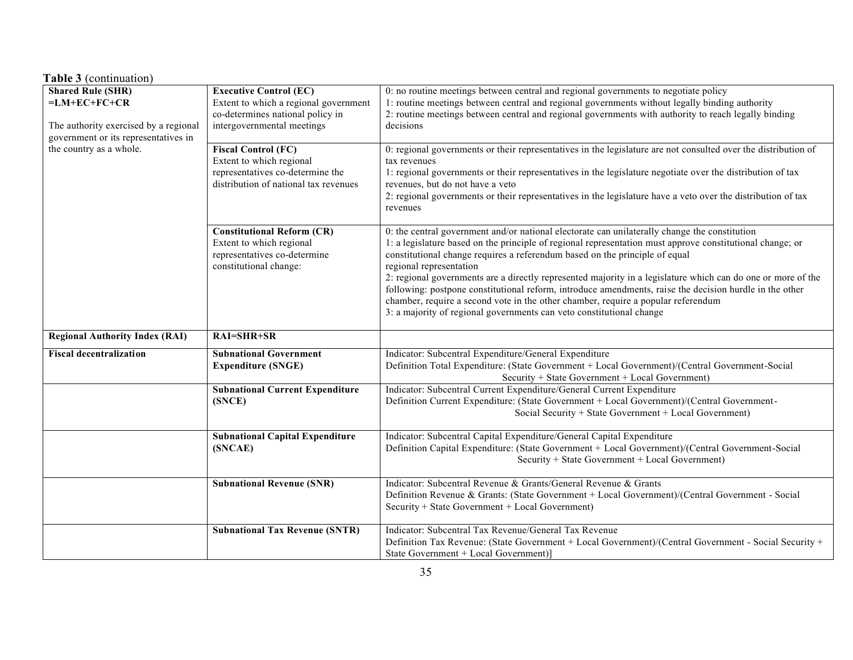| <b>Table 3</b> (continuation)                                                                                               |                                                                                                                                          |                                                                                                                                                                                                                                                                                                                                                                                                                                                                                                                                                                                                                                                                                                              |  |  |  |  |  |  |
|-----------------------------------------------------------------------------------------------------------------------------|------------------------------------------------------------------------------------------------------------------------------------------|--------------------------------------------------------------------------------------------------------------------------------------------------------------------------------------------------------------------------------------------------------------------------------------------------------------------------------------------------------------------------------------------------------------------------------------------------------------------------------------------------------------------------------------------------------------------------------------------------------------------------------------------------------------------------------------------------------------|--|--|--|--|--|--|
| <b>Shared Rule (SHR)</b><br>$=LM+EC+FC+CR$<br>The authority exercised by a regional<br>government or its representatives in | <b>Executive Control (EC)</b><br>Extent to which a regional government<br>co-determines national policy in<br>intergovernmental meetings | 0: no routine meetings between central and regional governments to negotiate policy<br>1: routine meetings between central and regional governments without legally binding authority<br>2: routine meetings between central and regional governments with authority to reach legally binding<br>decisions                                                                                                                                                                                                                                                                                                                                                                                                   |  |  |  |  |  |  |
| the country as a whole.                                                                                                     | <b>Fiscal Control (FC)</b><br>Extent to which regional<br>representatives co-determine the<br>distribution of national tax revenues      | 0: regional governments or their representatives in the legislature are not consulted over the distribution of<br>tax revenues<br>1: regional governments or their representatives in the legislature negotiate over the distribution of tax<br>revenues, but do not have a veto<br>2: regional governments or their representatives in the legislature have a veto over the distribution of tax<br>revenues                                                                                                                                                                                                                                                                                                 |  |  |  |  |  |  |
|                                                                                                                             | <b>Constitutional Reform (CR)</b><br>Extent to which regional<br>representatives co-determine<br>constitutional change:                  | 0: the central government and/or national electorate can unilaterally change the constitution<br>1: a legislature based on the principle of regional representation must approve constitutional change; or<br>constitutional change requires a referendum based on the principle of equal<br>regional representation<br>2: regional governments are a directly represented majority in a legislature which can do one or more of the<br>following: postpone constitutional reform, introduce amendments, raise the decision hurdle in the other<br>chamber, require a second vote in the other chamber, require a popular referendum<br>3: a majority of regional governments can veto constitutional change |  |  |  |  |  |  |
| <b>Regional Authority Index (RAI)</b>                                                                                       | RAI=SHR+SR                                                                                                                               |                                                                                                                                                                                                                                                                                                                                                                                                                                                                                                                                                                                                                                                                                                              |  |  |  |  |  |  |
| <b>Fiscal decentralization</b>                                                                                              | <b>Subnational Government</b><br><b>Expenditure (SNGE)</b>                                                                               | Indicator: Subcentral Expenditure/General Expenditure<br>Definition Total Expenditure: (State Government + Local Government)/(Central Government-Social<br>Security + State Government + Local Government)                                                                                                                                                                                                                                                                                                                                                                                                                                                                                                   |  |  |  |  |  |  |
|                                                                                                                             | <b>Subnational Current Expenditure</b><br>(SNCE)                                                                                         | Indicator: Subcentral Current Expenditure/General Current Expenditure<br>Definition Current Expenditure: (State Government + Local Government)/(Central Government-<br>Social Security + State Government + Local Government)                                                                                                                                                                                                                                                                                                                                                                                                                                                                                |  |  |  |  |  |  |
|                                                                                                                             | <b>Subnational Capital Expenditure</b><br>(SNCAE)                                                                                        | Indicator: Subcentral Capital Expenditure/General Capital Expenditure<br>Definition Capital Expenditure: (State Government + Local Government)/(Central Government-Social<br>Security + State Government + Local Government)                                                                                                                                                                                                                                                                                                                                                                                                                                                                                 |  |  |  |  |  |  |
|                                                                                                                             | <b>Subnational Revenue (SNR)</b>                                                                                                         | Indicator: Subcentral Revenue & Grants/General Revenue & Grants<br>Definition Revenue & Grants: (State Government + Local Government)/(Central Government - Social<br>Security + State Government + Local Government)                                                                                                                                                                                                                                                                                                                                                                                                                                                                                        |  |  |  |  |  |  |
|                                                                                                                             | <b>Subnational Tax Revenue (SNTR)</b>                                                                                                    | Indicator: Subcentral Tax Revenue/General Tax Revenue<br>Definition Tax Revenue: (State Government + Local Government)/(Central Government - Social Security +<br>State Government + Local Government)]                                                                                                                                                                                                                                                                                                                                                                                                                                                                                                      |  |  |  |  |  |  |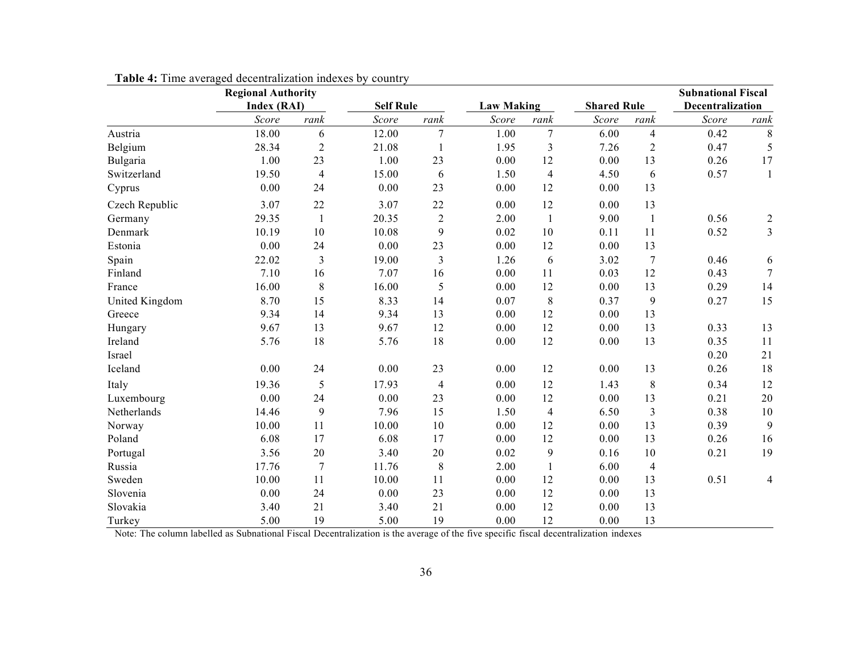|                | <b>Regional Authority</b><br>Index (RAI) |                |       | <b>Self Rule</b> |       | <b>Law Making</b> | <b>Shared Rule</b> |                | <b>Subnational Fiscal</b><br>Decentralization |                 |  |
|----------------|------------------------------------------|----------------|-------|------------------|-------|-------------------|--------------------|----------------|-----------------------------------------------|-----------------|--|
|                | Score                                    | rank           | Score | rank             | Score | rank              | Score              | rank           | Score                                         | rank            |  |
| Austria        | 18.00                                    | 6              | 12.00 | 7                | 1.00  | 7                 | 6.00               | $\overline{4}$ | 0.42                                          | 8               |  |
| Belgium        | 28.34                                    | $\overline{c}$ | 21.08 |                  | 1.95  | 3                 | 7.26               | $\overline{c}$ | 0.47                                          | 5               |  |
| Bulgaria       | 1.00                                     | 23             | 1.00  | 23               | 0.00  | 12                | 0.00               | 13             | 0.26                                          | 17              |  |
| Switzerland    | 19.50                                    | $\overline{4}$ | 15.00 | 6                | 1.50  | $\overline{4}$    | 4.50               | 6              | 0.57                                          | 1               |  |
| Cyprus         | 0.00                                     | 24             | 0.00  | 23               | 0.00  | 12                | 0.00               | 13             |                                               |                 |  |
| Czech Republic | 3.07                                     | 22             | 3.07  | 22               | 0.00  | 12                | 0.00               | 13             |                                               |                 |  |
| Germany        | 29.35                                    | $\mathbf{1}$   | 20.35 | $\mathbf{2}$     | 2.00  | $\mathbf{1}$      | 9.00               | $\mathbf{1}$   | 0.56                                          | $\overline{2}$  |  |
| Denmark        | 10.19                                    | 10             | 10.08 | 9                | 0.02  | 10                | 0.11               | 11             | 0.52                                          | $\mathfrak{Z}$  |  |
| Estonia        | 0.00                                     | 24             | 0.00  | 23               | 0.00  | 12                | 0.00               | 13             |                                               |                 |  |
| Spain          | 22.02                                    | $\overline{3}$ | 19.00 | 3                | 1.26  | 6                 | 3.02               | $\overline{7}$ | 0.46                                          | 6               |  |
| Finland        | 7.10                                     | 16             | 7.07  | 16               | 0.00  | 11                | 0.03               | 12             | 0.43                                          | $7\phantom{.0}$ |  |
| France         | 16.00                                    | $\,$ 8 $\,$    | 16.00 | 5                | 0.00  | 12                | 0.00               | 13             | 0.29                                          | 14              |  |
| United Kingdom | 8.70                                     | 15             | 8.33  | 14               | 0.07  | $\,8\,$           | 0.37               | 9              | 0.27                                          | 15              |  |
| Greece         | 9.34                                     | 14             | 9.34  | 13               | 0.00  | 12                | 0.00               | 13             |                                               |                 |  |
| Hungary        | 9.67                                     | 13             | 9.67  | 12               | 0.00  | 12                | 0.00               | 13             | 0.33                                          | 13              |  |
| Ireland        | 5.76                                     | 18             | 5.76  | 18               | 0.00  | 12                | 0.00               | 13             | 0.35                                          | 11              |  |
| Israel         |                                          |                |       |                  |       |                   |                    |                | 0.20                                          | $21\,$          |  |
| Iceland        | 0.00                                     | 24             | 0.00  | 23               | 0.00  | 12                | 0.00               | 13             | 0.26                                          | 18              |  |
| Italy          | 19.36                                    | 5              | 17.93 | $\overline{4}$   | 0.00  | 12                | 1.43               | $8\,$          | 0.34                                          | 12              |  |
| Luxembourg     | 0.00                                     | 24             | 0.00  | 23               | 0.00  | 12                | 0.00               | 13             | 0.21                                          | $20\,$          |  |
| Netherlands    | 14.46                                    | 9              | 7.96  | 15               | 1.50  | $\overline{4}$    | 6.50               | 3              | 0.38                                          | $10\,$          |  |
| Norway         | 10.00                                    | 11             | 10.00 | 10               | 0.00  | 12                | 0.00               | 13             | 0.39                                          | 9               |  |
| Poland         | 6.08                                     | 17             | 6.08  | 17               | 0.00  | 12                | 0.00               | 13             | 0.26                                          | 16              |  |
| Portugal       | 3.56                                     | 20             | 3.40  | 20               | 0.02  | 9                 | 0.16               | 10             | 0.21                                          | 19              |  |
| Russia         | 17.76                                    | $\overline{7}$ | 11.76 | $\,8\,$          | 2.00  | $\mathbf{1}$      | 6.00               | $\overline{4}$ |                                               |                 |  |
| Sweden         | 10.00                                    | 11             | 10.00 | 11               | 0.00  | 12                | 0.00               | 13             | 0.51                                          | 4               |  |
| Slovenia       | 0.00                                     | 24             | 0.00  | 23               | 0.00  | 12                | 0.00               | 13             |                                               |                 |  |
| Slovakia       | 3.40                                     | 21             | 3.40  | 21               | 0.00  | 12                | 0.00               | 13             |                                               |                 |  |
| Turkey         | 5.00                                     | 19             | 5.00  | 19               | 0.00  | 12                | 0.00               | 13             |                                               |                 |  |

**Table 4:** Time averaged decentralization indexes by country

Note: The column labelled as Subnational Fiscal Decentralization is the average of the five specific fiscal decentralization indexes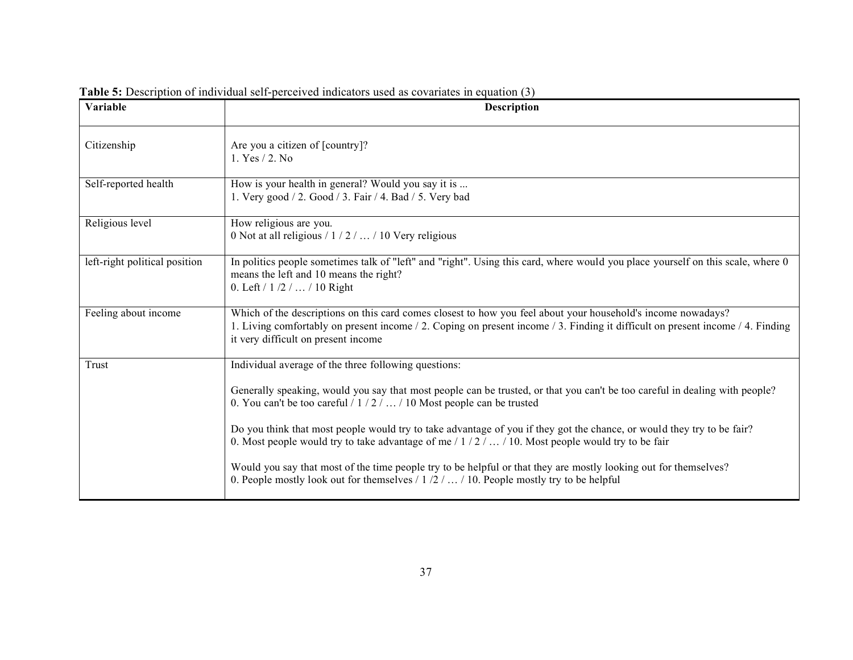| Variable                      | <b>Description</b>                                                                                                                                                                                                                                                                    |
|-------------------------------|---------------------------------------------------------------------------------------------------------------------------------------------------------------------------------------------------------------------------------------------------------------------------------------|
| Citizenship                   | Are you a citizen of [country]?<br>1. Yes / 2. No                                                                                                                                                                                                                                     |
| Self-reported health          | How is your health in general? Would you say it is<br>1. Very good / 2. Good / 3. Fair / 4. Bad / 5. Very bad                                                                                                                                                                         |
| Religious level               | How religious are you.<br>0 Not at all religious $/ 1 / 2 /  / 10$ Very religious                                                                                                                                                                                                     |
| left-right political position | In politics people sometimes talk of "left" and "right". Using this card, where would you place yourself on this scale, where 0<br>means the left and 10 means the right?<br>0. Left $/ 1 / 2 /  / 10$ Right                                                                          |
| Feeling about income          | Which of the descriptions on this card comes closest to how you feel about your household's income nowadays?<br>1. Living comfortably on present income / 2. Coping on present income / 3. Finding it difficult on present income / 4. Finding<br>it very difficult on present income |
| Trust                         | Individual average of the three following questions:                                                                                                                                                                                                                                  |
|                               | Generally speaking, would you say that most people can be trusted, or that you can't be too careful in dealing with people?<br>0. You can't be too careful / $1/2/$ / 10 Most people can be trusted                                                                                   |
|                               | Do you think that most people would try to take advantage of you if they got the chance, or would they try to be fair?<br>0. Most people would try to take advantage of me $/ 1 / 2 /  / 10$ . Most people would try to be fair                                                       |
|                               | Would you say that most of the time people try to be helpful or that they are mostly looking out for themselves?<br>0. People mostly look out for themselves $/ 1/2/$ $/ 10$ . People mostly try to be helpful                                                                        |

Table 5: Description of individual self-perceived indicators used as covariates in equation (3)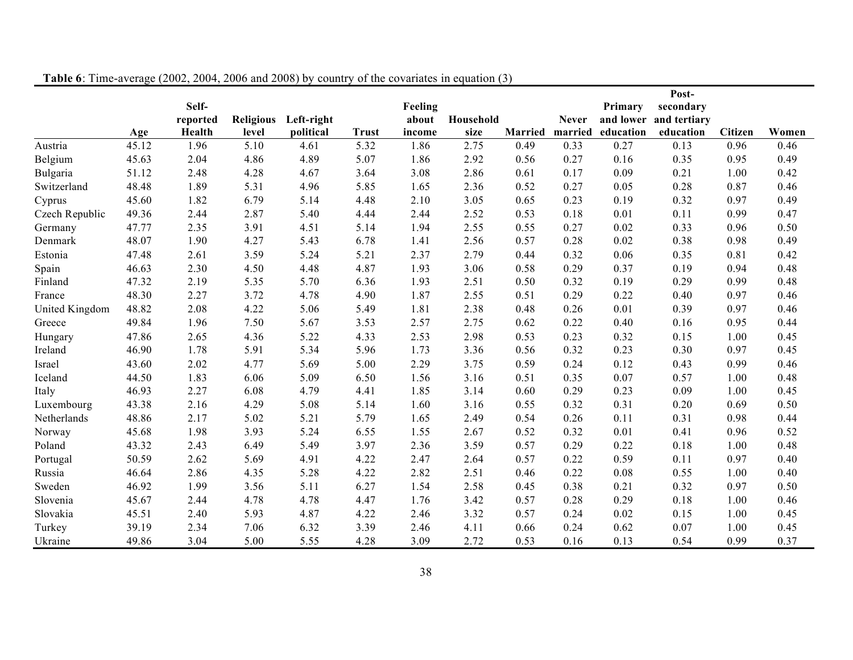|                |       |          |       |                      |              |         |           |                |              |                   | Post-                  |                |       |
|----------------|-------|----------|-------|----------------------|--------------|---------|-----------|----------------|--------------|-------------------|------------------------|----------------|-------|
|                |       | Self-    |       |                      |              | Feeling |           |                |              | Primary           | secondary              |                |       |
|                |       | reported |       | Religious Left-right |              | about   | Household |                | <b>Never</b> |                   | and lower and tertiary |                |       |
|                | Age   | Health   | level | political            | <b>Trust</b> | income  | size      | <b>Married</b> |              | married education | education              | <b>Citizen</b> | Women |
| Austria        | 45.12 | 1.96     | 5.10  | 4.61                 | 5.32         | 1.86    | 2.75      | 0.49           | 0.33         | 0.27              | 0.13                   | 0.96           | 0.46  |
| Belgium        | 45.63 | 2.04     | 4.86  | 4.89                 | 5.07         | 1.86    | 2.92      | 0.56           | 0.27         | 0.16              | 0.35                   | 0.95           | 0.49  |
| Bulgaria       | 51.12 | 2.48     | 4.28  | 4.67                 | 3.64         | 3.08    | 2.86      | 0.61           | 0.17         | 0.09              | 0.21                   | 1.00           | 0.42  |
| Switzerland    | 48.48 | 1.89     | 5.31  | 4.96                 | 5.85         | 1.65    | 2.36      | 0.52           | 0.27         | 0.05              | 0.28                   | 0.87           | 0.46  |
| Cyprus         | 45.60 | 1.82     | 6.79  | 5.14                 | 4.48         | 2.10    | 3.05      | 0.65           | 0.23         | 0.19              | 0.32                   | 0.97           | 0.49  |
| Czech Republic | 49.36 | 2.44     | 2.87  | 5.40                 | 4.44         | 2.44    | 2.52      | 0.53           | 0.18         | 0.01              | 0.11                   | 0.99           | 0.47  |
| Germany        | 47.77 | 2.35     | 3.91  | 4.51                 | 5.14         | 1.94    | 2.55      | 0.55           | 0.27         | 0.02              | 0.33                   | 0.96           | 0.50  |
| Denmark        | 48.07 | 1.90     | 4.27  | 5.43                 | 6.78         | 1.41    | 2.56      | 0.57           | 0.28         | 0.02              | 0.38                   | 0.98           | 0.49  |
| Estonia        | 47.48 | 2.61     | 3.59  | 5.24                 | 5.21         | 2.37    | 2.79      | 0.44           | 0.32         | 0.06              | 0.35                   | 0.81           | 0.42  |
| Spain          | 46.63 | 2.30     | 4.50  | 4.48                 | 4.87         | 1.93    | 3.06      | 0.58           | 0.29         | 0.37              | 0.19                   | 0.94           | 0.48  |
| Finland        | 47.32 | 2.19     | 5.35  | 5.70                 | 6.36         | 1.93    | 2.51      | 0.50           | 0.32         | 0.19              | 0.29                   | 0.99           | 0.48  |
| France         | 48.30 | 2.27     | 3.72  | 4.78                 | 4.90         | 1.87    | 2.55      | 0.51           | 0.29         | 0.22              | 0.40                   | 0.97           | 0.46  |
| United Kingdom | 48.82 | 2.08     | 4.22  | 5.06                 | 5.49         | 1.81    | 2.38      | 0.48           | 0.26         | 0.01              | 0.39                   | 0.97           | 0.46  |
| Greece         | 49.84 | 1.96     | 7.50  | 5.67                 | 3.53         | 2.57    | 2.75      | 0.62           | 0.22         | 0.40              | 0.16                   | 0.95           | 0.44  |
| Hungary        | 47.86 | 2.65     | 4.36  | 5.22                 | 4.33         | 2.53    | 2.98      | 0.53           | 0.23         | 0.32              | 0.15                   | 1.00           | 0.45  |
| Ireland        | 46.90 | 1.78     | 5.91  | 5.34                 | 5.96         | 1.73    | 3.36      | 0.56           | 0.32         | 0.23              | 0.30                   | 0.97           | 0.45  |
| Israel         | 43.60 | 2.02     | 4.77  | 5.69                 | 5.00         | 2.29    | 3.75      | 0.59           | 0.24         | 0.12              | 0.43                   | 0.99           | 0.46  |
| Iceland        | 44.50 | 1.83     | 6.06  | 5.09                 | 6.50         | 1.56    | 3.16      | 0.51           | 0.35         | 0.07              | 0.57                   | 1.00           | 0.48  |
| Italy          | 46.93 | 2.27     | 6.08  | 4.79                 | 4.41         | 1.85    | 3.14      | 0.60           | 0.29         | 0.23              | 0.09                   | 1.00           | 0.45  |
| Luxembourg     | 43.38 | 2.16     | 4.29  | 5.08                 | 5.14         | 1.60    | 3.16      | 0.55           | 0.32         | 0.31              | 0.20                   | 0.69           | 0.50  |
| Netherlands    | 48.86 | 2.17     | 5.02  | 5.21                 | 5.79         | 1.65    | 2.49      | 0.54           | 0.26         | 0.11              | 0.31                   | 0.98           | 0.44  |
| Norway         | 45.68 | 1.98     | 3.93  | 5.24                 | 6.55         | 1.55    | 2.67      | 0.52           | 0.32         | 0.01              | 0.41                   | 0.96           | 0.52  |
| Poland         | 43.32 | 2.43     | 6.49  | 5.49                 | 3.97         | 2.36    | 3.59      | 0.57           | 0.29         | 0.22              | 0.18                   | 1.00           | 0.48  |
| Portugal       | 50.59 | 2.62     | 5.69  | 4.91                 | 4.22         | 2.47    | 2.64      | 0.57           | 0.22         | 0.59              | 0.11                   | 0.97           | 0.40  |
| Russia         | 46.64 | 2.86     | 4.35  | 5.28                 | 4.22         | 2.82    | 2.51      | 0.46           | 0.22         | 0.08              | 0.55                   | 1.00           | 0.40  |
| Sweden         | 46.92 | 1.99     | 3.56  | 5.11                 | 6.27         | 1.54    | 2.58      | 0.45           | 0.38         | 0.21              | 0.32                   | 0.97           | 0.50  |
| Slovenia       | 45.67 | 2.44     | 4.78  | 4.78                 | 4.47         | 1.76    | 3.42      | 0.57           | 0.28         | 0.29              | 0.18                   | 1.00           | 0.46  |
| Slovakia       | 45.51 | 2.40     | 5.93  | 4.87                 | 4.22         | 2.46    | 3.32      | 0.57           | 0.24         | 0.02              | 0.15                   | 1.00           | 0.45  |
| Turkey         | 39.19 | 2.34     | 7.06  | 6.32                 | 3.39         | 2.46    | 4.11      | 0.66           | 0.24         | 0.62              | 0.07                   | 1.00           | 0.45  |
| Ukraine        | 49.86 | 3.04     | 5.00  | 5.55                 | 4.28         | 3.09    | 2.72      | 0.53           | 0.16         | 0.13              | 0.54                   | 0.99           | 0.37  |

**Table 6**: Time-average (2002, 2004, 2006 and 2008) by country of the covariates in equation (3)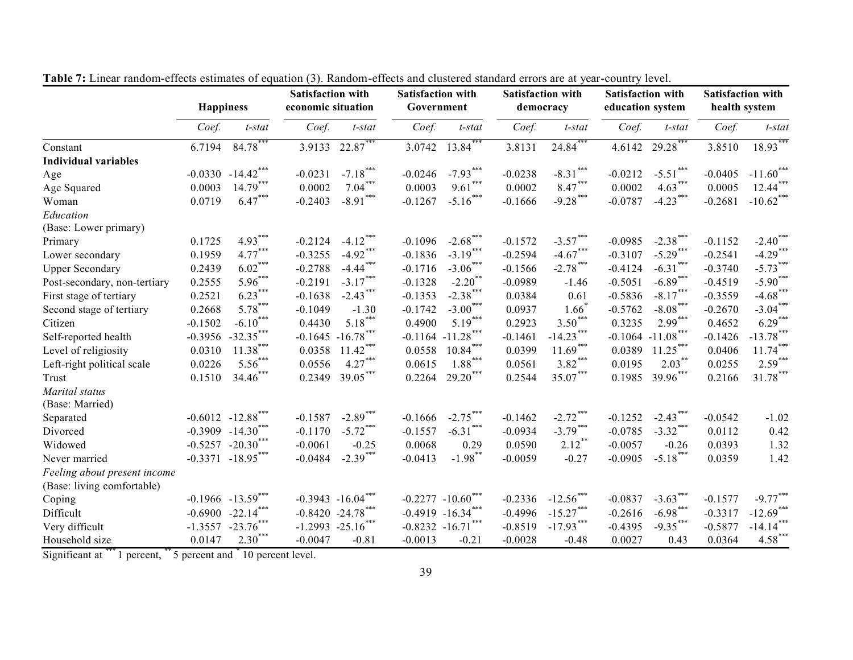|                              | <b>Happiness</b> |                       | <b>Satisfaction with</b><br>economic situation |                             |                           | <b>Satisfaction with</b><br>Government |           | <b>Satisfaction with</b><br>democracy |           | <b>Satisfaction with</b><br>education system |           | <b>Satisfaction with</b><br>health system |  |
|------------------------------|------------------|-----------------------|------------------------------------------------|-----------------------------|---------------------------|----------------------------------------|-----------|---------------------------------------|-----------|----------------------------------------------|-----------|-------------------------------------------|--|
|                              | Coef.            | $t$ -stat             | Coef.                                          | $t$ -stat                   | Coef.                     | $t$ -stat                              | Coef.     | t-stat                                | Coef.     | $t$ -stat                                    | Coef.     | $t$ -stat                                 |  |
| Constant                     | 6.7194           | $84.78***$            | 3.9133                                         | $22.87***$                  | 3.0742                    | $13.84***$                             | 3.8131    | $24.84***$                            | 4.6142    | $29.28***$                                   | 3.8510    | $18.93***$                                |  |
| <b>Individual variables</b>  |                  |                       |                                                |                             |                           |                                        |           |                                       |           |                                              |           |                                           |  |
| Age                          |                  | $-0.0330 -14.42$ ***  | $-0.0231$                                      | $-7.18***$                  | $-0.0246$                 | $-7.93***$                             | $-0.0238$ | $-8.31***$                            | $-0.0212$ | $-5.51***$                                   | $-0.0405$ | $-11.60$ ***                              |  |
| Age Squared                  | 0.0003           | $14.79***$            | 0.0002                                         | $7.04***$                   | 0.0003                    | $9.61***$                              | 0.0002    | $8.47***$                             | 0.0002    | $4.63***$                                    | 0.0005    | $12.44***$                                |  |
| Woman                        | 0.0719           | $6.47***$             | $-0.2403$                                      | ***<br>$-8.91$ <sup>*</sup> | $-0.1267$                 | $-5.16***$                             | $-0.1666$ | $-9.28***$                            | $-0.0787$ | $-4.23$ ***                                  | $-0.2681$ | $-10.62$ ***                              |  |
| Education                    |                  |                       |                                                |                             |                           |                                        |           |                                       |           |                                              |           |                                           |  |
| (Base: Lower primary)        |                  |                       |                                                |                             |                           |                                        |           |                                       |           |                                              |           |                                           |  |
| Primary                      | 0.1725           | $4.93***$             | $-0.2124$                                      | $-4.12***$                  | $-0.1096$                 | $-2.68***$                             | $-0.1572$ | $-3.57***$                            | $-0.0985$ | $-2.38***$                                   | $-0.1152$ | $-2.40$ ***                               |  |
| Lower secondary              | 0.1959           | $4.77***$             | $-0.3255$                                      | $-4.92***$                  | $-0.1836$                 | $-3.19***$                             | $-0.2594$ | $-4.67***$                            | $-0.3107$ | $-5.29***$                                   | $-0.2541$ | $-4.29***$                                |  |
| <b>Upper Secondary</b>       | 0.2439           | $6.02***$             | $-0.2788$                                      | $-4.44$ <sup>***</sup>      | $-0.1716$                 | $-3.06***$                             | $-0.1566$ | $-2.78$ ***                           | $-0.4124$ | $-6.31***$                                   | $-0.3740$ | $-5.73***$                                |  |
| Post-secondary, non-tertiary | 0.2555           | $5.96***$             | $-0.2191$                                      | $-3.17***$                  | $-0.1328$                 | $-2.20$ <sup>**</sup>                  | $-0.0989$ | $-1.46$                               | $-0.5051$ | $-6.89***$                                   | $-0.4519$ | $-5.90***$                                |  |
| First stage of tertiary      | 0.2521           | $6.23***$             | $-0.1638$                                      | $-2.43***$                  | $-0.1353$                 | $-2.38***$                             | 0.0384    | 0.61                                  | $-0.5836$ | $-8.17***$                                   | $-0.3559$ | $-4.68$ ***                               |  |
| Second stage of tertiary     | 0.2668           | $5.78***$             | $-0.1049$                                      | $-1.30$                     | $-0.1742$                 | $-3.00***$                             | 0.0937    | $1.66$ <sup>*</sup>                   | $-0.5762$ | $-8.08***$                                   | $-0.2670$ | $-3.04***$                                |  |
| Citizen                      | $-0.1502$        | $-6.10***$            | 0.4430                                         | $5.18***$                   | 0.4900                    | $5.19***$                              | 0.2923    | $3.50***$                             | 0.3235    | $2.99***$                                    | 0.4652    | $6.29***$                                 |  |
| Self-reported health         | $-0.3956$        | $-32.35***$           |                                                | $-0.1645 - 16.78$ ***       |                           | $-0.1164 - 11.28$ ***                  | $-0.1461$ | $-14.23***$                           | $-0.1064$ | $-11.08***$                                  | $-0.1426$ | $-13.78$ ***                              |  |
| Level of religiosity         | 0.0310           | $11.38***$            | 0.0358                                         | $11.42***$                  | 0.0558                    | $10.84***$                             | 0.0399    | $11.69***$                            | 0.0389    | $11.25***$                                   | 0.0406    | $11.74***$                                |  |
| Left-right political scale   | 0.0226           | $5.56***$             | 0.0556                                         | $4.27***$                   | 0.0615                    | $1.88***$                              | 0.0561    | $3.82***$                             | 0.0195    | $2.03***$                                    | 0.0255    | $2.59***$                                 |  |
| Trust                        | 0.1510           | $34.46***$            | 0.2349                                         | 39.05***                    | 0.2264                    | $29.20***$                             | 0.2544    | $35.07***$                            | 0.1985    | 39.96***                                     | 0.2166    | $31.78***$                                |  |
| Marital status               |                  |                       |                                                |                             |                           |                                        |           |                                       |           |                                              |           |                                           |  |
| (Base: Married)              |                  |                       |                                                |                             |                           |                                        |           |                                       |           |                                              |           |                                           |  |
| Separated                    |                  | $-0.6012 -12.88$ ***  | $-0.1587$                                      | $-2.89***$                  | $-0.1666$                 | $-2.75***$                             | $-0.1462$ | $-2.72***$                            | $-0.1252$ | $-2.43***$                                   | $-0.0542$ | $-1.02$                                   |  |
| Divorced                     |                  | $-0.3909 - 14.30***$  | $-0.1170$                                      | $-5.72$ ***                 | $-0.1557$                 | $-6.31***$                             | $-0.0934$ | $-3.79***$                            | $-0.0785$ | $-3.32***$                                   | 0.0112    | 0.42                                      |  |
| Widowed                      |                  | $-0.5257 -20.30***$   | $-0.0061$                                      | $-0.25$                     | 0.0068                    | 0.29                                   | 0.0590    | $2.12***$                             | $-0.0057$ | $-0.26$                                      | 0.0393    | 1.32                                      |  |
| Never married                |                  | $-0.3371 - 18.95***$  | $-0.0484$                                      | $-2.39***$                  | $-0.0413$                 | $-1.98***$                             | $-0.0059$ | $-0.27$                               | $-0.0905$ | $-5.18***$                                   | 0.0359    | 1.42                                      |  |
| Feeling about present income |                  |                       |                                                |                             |                           |                                        |           |                                       |           |                                              |           |                                           |  |
| (Base: living comfortable)   |                  |                       |                                                |                             |                           |                                        |           |                                       |           |                                              |           |                                           |  |
| Coping                       |                  | $-0.1966 - 13.59$ *** |                                                | $-0.3943 - 16.04$ ***       | $-0.2277 - 10.60^{\circ}$ |                                        | $-0.2336$ | $-12.56$ ***                          | $-0.0837$ | $-3.63$ ***                                  | $-0.1577$ | $-9.77***$                                |  |
| Difficult                    |                  | $-0.6900 -22.14***$   |                                                | $-0.8420 -24.78$ ***        |                           | $-0.4919 - 16.34***$                   | $-0.4996$ | $-15.27***$                           | $-0.2616$ | $-6.98***$                                   | $-0.3317$ | $-12.69$ ***                              |  |
| Very difficult               | $-1.3557$        | $-23.76$ ***          |                                                | $-1.2993 -25.16***$         | $-0.8232 - 16.71$         |                                        | $-0.8519$ | $-17.93***$                           | $-0.4395$ | $-9.35***$                                   | $-0.5877$ | $-14.14***$                               |  |
| Household size               | 0.0147           | $2.30***$             | $-0.0047$                                      | $-0.81$                     | $-0.0013$                 | $-0.21$                                | $-0.0028$ | $-0.48$                               | 0.0027    | 0.43                                         | 0.0364    | $4.58***$                                 |  |

**Table 7:** Linear random-effects estimates of equation (3). Random-effects and clustered standard errors are at year-country level.

Significant at \*\*\* 1 percent, \*\* 5 percent and \* 10 percent level.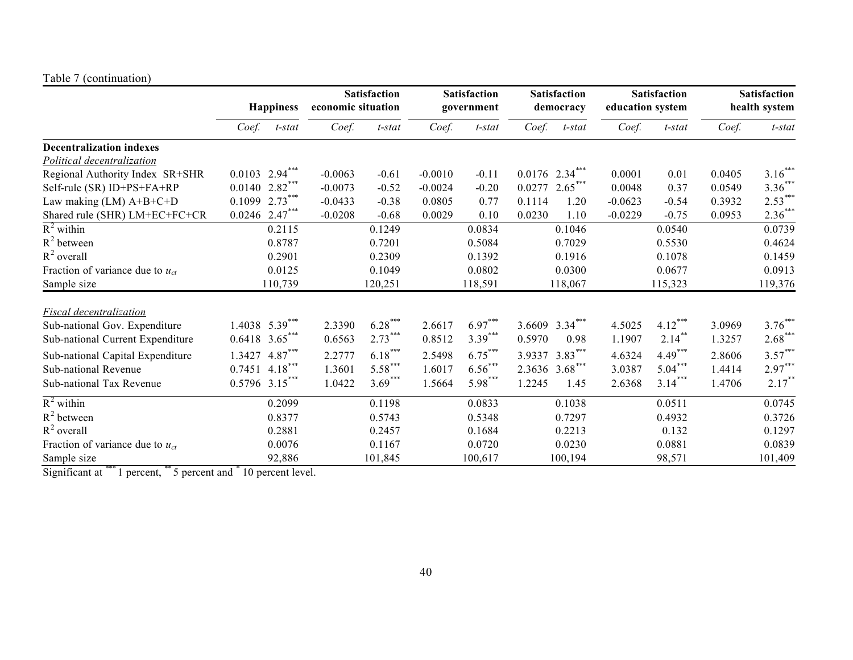#### Table 7 (continuation)

|                                      | <b>Happiness</b>           |                   | <b>Satisfaction</b><br>economic situation |                  | <b>Satisfaction</b><br>government |           | <b>Satisfaction</b><br>democracy |                  | <b>Satisfaction</b><br>education system |                  | <b>Satisfaction</b><br>health system |           |
|--------------------------------------|----------------------------|-------------------|-------------------------------------------|------------------|-----------------------------------|-----------|----------------------------------|------------------|-----------------------------------------|------------------|--------------------------------------|-----------|
|                                      | Coef.                      | t-stat            | Coef.                                     | t-stat           | Coef.                             | $t$ -stat | Coef.                            | $t$ -stat        | Coef.                                   | t-stat           | Coef.                                | $t$ -stat |
| <b>Decentralization indexes</b>      |                            |                   |                                           |                  |                                   |           |                                  |                  |                                         |                  |                                      |           |
| Political decentralization           |                            |                   |                                           |                  |                                   |           |                                  |                  |                                         |                  |                                      |           |
| Regional Authority Index SR+SHR      | $0.0103$ 2.94***           |                   | $-0.0063$                                 | $-0.61$          | $-0.0010$                         | $-0.11$   |                                  | $0.0176$ 2.34*** | 0.0001                                  | 0.01             | 0.0405                               | $3.16***$ |
| Self-rule (SR) ID+PS+FA+RP           | $0.0140 2.82***$           |                   | $-0.0073$                                 | $-0.52$          | $-0.0024$                         | $-0.20$   | 0.0277                           | $2.65***$        | 0.0048                                  | 0.37             | 0.0549                               | $3.36***$ |
| Law making $(LM)$ A+B+C+D            | 0.1099                     | 2.73              | $-0.0433$                                 | $-0.38$          | 0.0805                            | 0.77      | 0.1114                           | 1.20             | $-0.0623$                               | $-0.54$          | 0.3932                               | $2.53***$ |
| Shared rule (SHR) LM+EC+FC+CR        | $0.0246$ 2.47***           |                   | $-0.0208$                                 | $-0.68$          | 0.0029                            | 0.10      | 0.0230                           | 1.10             | $-0.0229$                               | $-0.75$          | 0.0953                               | $2.36***$ |
| $R^2$ within                         |                            | 0.2115            |                                           | 0.1249           |                                   | 0.0834    |                                  | 0.1046           |                                         | 0.0540           |                                      | 0.0739    |
| $R^2$ between                        |                            | 0.8787            |                                           | 0.7201           |                                   | 0.5084    |                                  | 0.7029           |                                         | 0.5530           |                                      | 0.4624    |
| $R^2$ overall                        |                            | 0.2901            |                                           | 0.2309           |                                   | 0.1392    |                                  | 0.1916           |                                         | 0.1078           |                                      | 0.1459    |
| Fraction of variance due to $u_{ct}$ |                            | 0.0125            |                                           | 0.1049           |                                   | 0.0802    |                                  | 0.0300           |                                         | 0.0677           |                                      | 0.0913    |
| Sample size                          |                            | 110,739           |                                           | 120,251          |                                   | 118,591   |                                  | 118,067          |                                         | 115,323          |                                      | 119,376   |
| Fiscal decentralization              |                            |                   |                                           |                  |                                   |           |                                  |                  |                                         |                  |                                      |           |
| Sub-national Gov. Expenditure        |                            | $1.4038$ 5.39***  | 2.3390                                    | $6.28***$        | 2.6617                            | $6.97***$ | 3.6609                           | $3.34***$        | 4.5025                                  | $4.12***$        | 3.0969                               | $3.76***$ |
| Sub-national Current Expenditure     | $0.6418$ 3.65 <sup>*</sup> |                   | 0.6563                                    | $2.73^{\degree}$ | 0.8512                            | $3.39***$ | 0.5970                           | 0.98             | 1.1907                                  | $2.14^{\degree}$ | 1.3257                               | $2.68***$ |
|                                      |                            |                   |                                           | $6.18***$        |                                   | $6.75***$ |                                  | $3.83***$        |                                         | $4.49***$        |                                      | $3.57***$ |
| Sub-national Capital Expenditure     | 1.3427                     | 4.87<br>$4.18***$ | 2.2777                                    | $5.58***$        | 2.5498                            | $6.56***$ | 3.9337                           | $3.68***$        | 4.6324                                  | $5.04***$        | 2.8606                               | $2.97***$ |
| Sub-national Revenue                 | 0.7451                     |                   | 1.3601                                    | $3.69***$        | 1.6017                            | $5.98***$ | 2.3636                           |                  | 3.0387                                  |                  | 1.4414                               |           |
| Sub-national Tax Revenue             | 0.5796                     | $3.15***$         | 1.0422                                    |                  | 1.5664                            |           | 1.2245                           | 1.45             | 2.6368                                  | $3.14***$        | 1.4706                               | $2.17$ *  |
| $R^2$ within                         |                            | 0.2099            |                                           | 0.1198           |                                   | 0.0833    |                                  | 0.1038           |                                         | 0.0511           |                                      | 0.0745    |
| $R^2$ between                        |                            | 0.8377            |                                           | 0.5743           |                                   | 0.5348    |                                  | 0.7297           |                                         | 0.4932           |                                      | 0.3726    |
| $R^2$ overall                        |                            | 0.2881            |                                           | 0.2457           |                                   | 0.1684    |                                  | 0.2213           |                                         | 0.132            |                                      | 0.1297    |
| Fraction of variance due to $u_{ct}$ |                            | 0.0076            |                                           | 0.1167           |                                   | 0.0720    |                                  | 0.0230           |                                         | 0.0881           |                                      | 0.0839    |
| Sample size                          |                            | 92,886            |                                           | 101,845          |                                   | 100,617   |                                  | 100,194          |                                         | 98,571           |                                      | 101,409   |

Significant at \*\*\* 1 percent, \*\* 5 percent and \* 10 percent level.